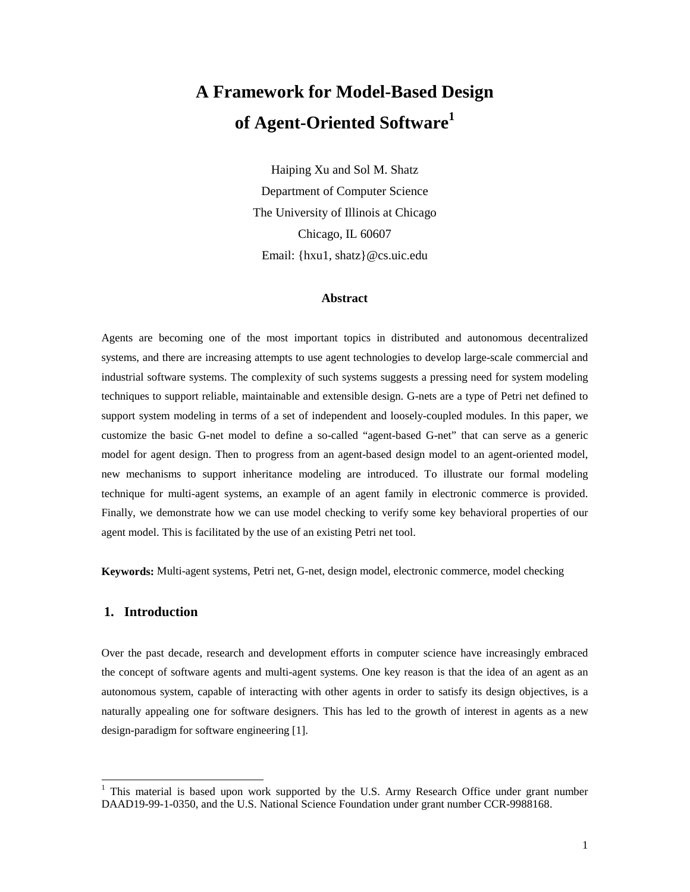# **A Framework for Model-Based Design of Agent-Oriented Software<sup>1</sup>**

Haiping Xu and Sol M. Shatz Department of Computer Science The University of Illinois at Chicago Chicago, IL 60607 Email: {hxu1, shatz}@cs.uic.edu

# **Abstract**

Agents are becoming one of the most important topics in distributed and autonomous decentralized systems, and there are increasing attempts to use agent technologies to develop large-scale commercial and industrial software systems. The complexity of such systems suggests a pressing need for system modeling techniques to support reliable, maintainable and extensible design. G-nets are a type of Petri net defined to support system modeling in terms of a set of independent and loosely-coupled modules. In this paper, we customize the basic G-net model to define a so-called "agent-based G-net" that can serve as a generic model for agent design. Then to progress from an agent-based design model to an agent-oriented model, new mechanisms to support inheritance modeling are introduced. To illustrate our formal modeling technique for multi-agent systems, an example of an agent family in electronic commerce is provided. Finally, we demonstrate how we can use model checking to verify some key behavioral properties of our agent model. This is facilitated by the use of an existing Petri net tool.

**Keywords:** Multi-agent systems, Petri net, G-net, design model, electronic commerce, model checking

# **1. Introduction**

 $\overline{a}$ 

Over the past decade, research and development efforts in computer science have increasingly embraced the concept of software agents and multi-agent systems. One key reason is that the idea of an agent as an autonomous system, capable of interacting with other agents in order to satisfy its design objectives, is a naturally appealing one for software designers. This has led to the growth of interest in agents as a new design-paradigm for software engineering [1].

 $1$  This material is based upon work supported by the U.S. Army Research Office under grant number DAAD19-99-1-0350, and the U.S. National Science Foundation under grant number CCR-9988168.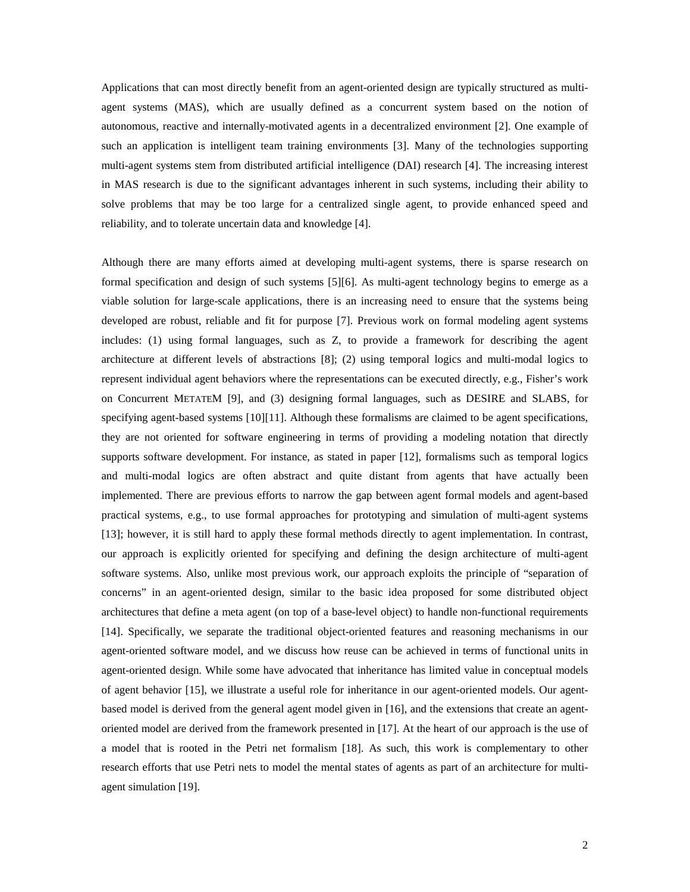Applications that can most directly benefit from an agent-oriented design are typically structured as multiagent systems (MAS), which are usually defined as a concurrent system based on the notion of autonomous, reactive and internally-motivated agents in a decentralized environment [2]. One example of such an application is intelligent team training environments [3]. Many of the technologies supporting multi-agent systems stem from distributed artificial intelligence (DAI) research [4]. The increasing interest in MAS research is due to the significant advantages inherent in such systems, including their ability to solve problems that may be too large for a centralized single agent, to provide enhanced speed and reliability, and to tolerate uncertain data and knowledge [4].

Although there are many efforts aimed at developing multi-agent systems, there is sparse research on formal specification and design of such systems [5][6]. As multi-agent technology begins to emerge as a viable solution for large-scale applications, there is an increasing need to ensure that the systems being developed are robust, reliable and fit for purpose [7]. Previous work on formal modeling agent systems includes: (1) using formal languages, such as Z, to provide a framework for describing the agent architecture at different levels of abstractions [8]; (2) using temporal logics and multi-modal logics to represent individual agent behaviors where the representations can be executed directly, e.g., Fisher's work on Concurrent METATEM [9], and (3) designing formal languages, such as DESIRE and SLABS, for specifying agent-based systems [10][11]. Although these formalisms are claimed to be agent specifications, they are not oriented for software engineering in terms of providing a modeling notation that directly supports software development. For instance, as stated in paper [12], formalisms such as temporal logics and multi-modal logics are often abstract and quite distant from agents that have actually been implemented. There are previous efforts to narrow the gap between agent formal models and agent-based practical systems, e.g., to use formal approaches for prototyping and simulation of multi-agent systems [13]; however, it is still hard to apply these formal methods directly to agent implementation. In contrast, our approach is explicitly oriented for specifying and defining the design architecture of multi-agent software systems. Also, unlike most previous work, our approach exploits the principle of "separation of concerns" in an agent-oriented design, similar to the basic idea proposed for some distributed object architectures that define a meta agent (on top of a base-level object) to handle non-functional requirements [14]. Specifically, we separate the traditional object-oriented features and reasoning mechanisms in our agent-oriented software model, and we discuss how reuse can be achieved in terms of functional units in agent-oriented design. While some have advocated that inheritance has limited value in conceptual models of agent behavior [15], we illustrate a useful role for inheritance in our agent-oriented models. Our agentbased model is derived from the general agent model given in [16], and the extensions that create an agentoriented model are derived from the framework presented in [17]. At the heart of our approach is the use of a model that is rooted in the Petri net formalism [18]. As such, this work is complementary to other research efforts that use Petri nets to model the mental states of agents as part of an architecture for multiagent simulation [19].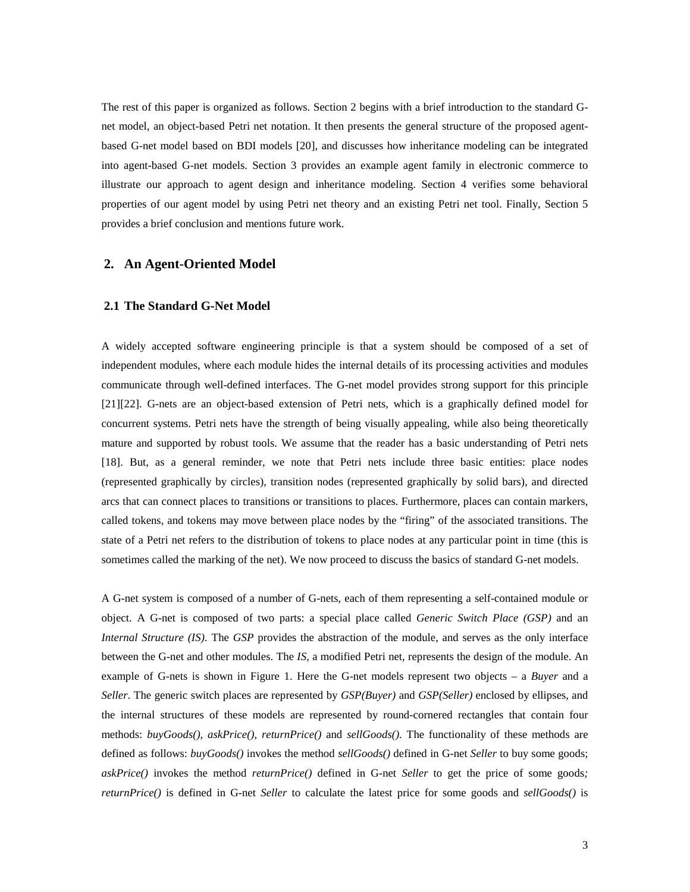The rest of this paper is organized as follows. Section 2 begins with a brief introduction to the standard Gnet model, an object-based Petri net notation. It then presents the general structure of the proposed agentbased G-net model based on BDI models [20], and discusses how inheritance modeling can be integrated into agent-based G-net models. Section 3 provides an example agent family in electronic commerce to illustrate our approach to agent design and inheritance modeling. Section 4 verifies some behavioral properties of our agent model by using Petri net theory and an existing Petri net tool. Finally, Section 5 provides a brief conclusion and mentions future work.

# **2. An Agent-Oriented Model**

#### **2.1 The Standard G-Net Model**

A widely accepted software engineering principle is that a system should be composed of a set of independent modules, where each module hides the internal details of its processing activities and modules communicate through well-defined interfaces. The G-net model provides strong support for this principle [21][22]. G-nets are an object-based extension of Petri nets, which is a graphically defined model for concurrent systems. Petri nets have the strength of being visually appealing, while also being theoretically mature and supported by robust tools. We assume that the reader has a basic understanding of Petri nets [18]. But, as a general reminder, we note that Petri nets include three basic entities: place nodes (represented graphically by circles), transition nodes (represented graphically by solid bars), and directed arcs that can connect places to transitions or transitions to places. Furthermore, places can contain markers, called tokens, and tokens may move between place nodes by the "firing" of the associated transitions. The state of a Petri net refers to the distribution of tokens to place nodes at any particular point in time (this is sometimes called the marking of the net). We now proceed to discuss the basics of standard G-net models.

A G-net system is composed of a number of G-nets, each of them representing a self-contained module or object. A G-net is composed of two parts: a special place called *Generic Switch Place (GSP)* and an *Internal Structure (IS)*. The *GSP* provides the abstraction of the module, and serves as the only interface between the G-net and other modules. The *IS*, a modified Petri net, represents the design of the module. An example of G-nets is shown in Figure 1. Here the G-net models represent two objects – a *Buyer* and a *Seller*. The generic switch places are represented by *GSP(Buyer)* and *GSP(Seller)* enclosed by ellipses, and the internal structures of these models are represented by round-cornered rectangles that contain four methods: *buyGoods()*, *askPrice()*, *returnPrice()* and *sellGoods()*. The functionality of these methods are defined as follows: *buyGoods()* invokes the method *sellGoods()* defined in G-net *Seller* to buy some goods; *askPrice()* invokes the method *returnPrice()* defined in G-net *Seller* to get the price of some goods*; returnPrice()* is defined in G-net *Seller* to calculate the latest price for some goods and *sellGoods()* is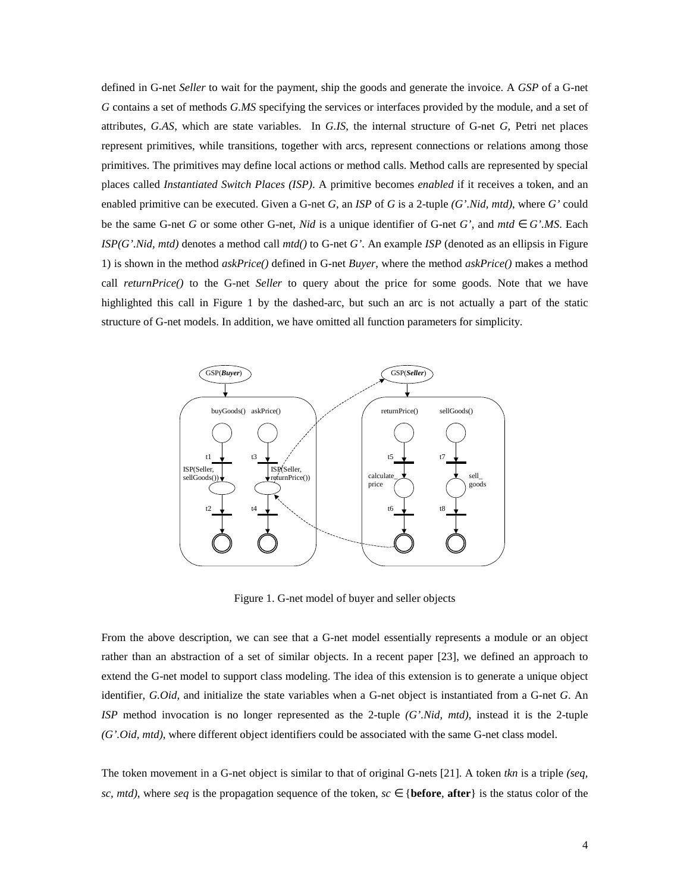defined in G-net *Seller* to wait for the payment, ship the goods and generate the invoice. A *GSP* of a G-net *G* contains a set of methods *G.MS* specifying the services or interfaces provided by the module, and a set of attributes, *G.AS*, which are state variables. In *G.IS*, the internal structure of G-net *G*, Petri net places represent primitives, while transitions, together with arcs, represent connections or relations among those primitives. The primitives may define local actions or method calls. Method calls are represented by special places called *Instantiated Switch Places (ISP)*. A primitive becomes *enabled* if it receives a token, and an enabled primitive can be executed. Given a G-net *G*, an *ISP* of *G* is a 2-tuple *(G'.Nid, mtd)*, where *G'* could be the same G-net *G* or some other G-net, *Nid* is a unique identifier of G-net *G'*, and  $mtd \in G'$ . *MS*. Each *ISP(G'.Nid, mtd)* denotes a method call *mtd()* to G-net *G'*. An example *ISP* (denoted as an ellipsis in Figure 1) is shown in the method *askPrice()* defined in G-net *Buyer*, where the method *askPrice()* makes a method call *returnPrice()* to the G-net *Seller* to query about the price for some goods. Note that we have highlighted this call in Figure 1 by the dashed-arc, but such an arc is not actually a part of the static structure of G-net models. In addition, we have omitted all function parameters for simplicity.



Figure 1. G-net model of buyer and seller objects

From the above description, we can see that a G-net model essentially represents a module or an object rather than an abstraction of a set of similar objects. In a recent paper [23], we defined an approach to extend the G-net model to support class modeling. The idea of this extension is to generate a unique object identifier, *G.Oid*, and initialize the state variables when a G-net object is instantiated from a G-net *G*. An *ISP* method invocation is no longer represented as the 2-tuple *(G'.Nid, mtd)*, instead it is the 2-tuple *(G'.Oid, mtd)*, where different object identifiers could be associated with the same G-net class model.

The token movement in a G-net object is similar to that of original G-nets [21]. A token *tkn* is a triple *(seq, sc, mtd)*, where *seq* is the propagation sequence of the token,  $sc \in \{ \text{before}, \text{after} \}$  is the status color of the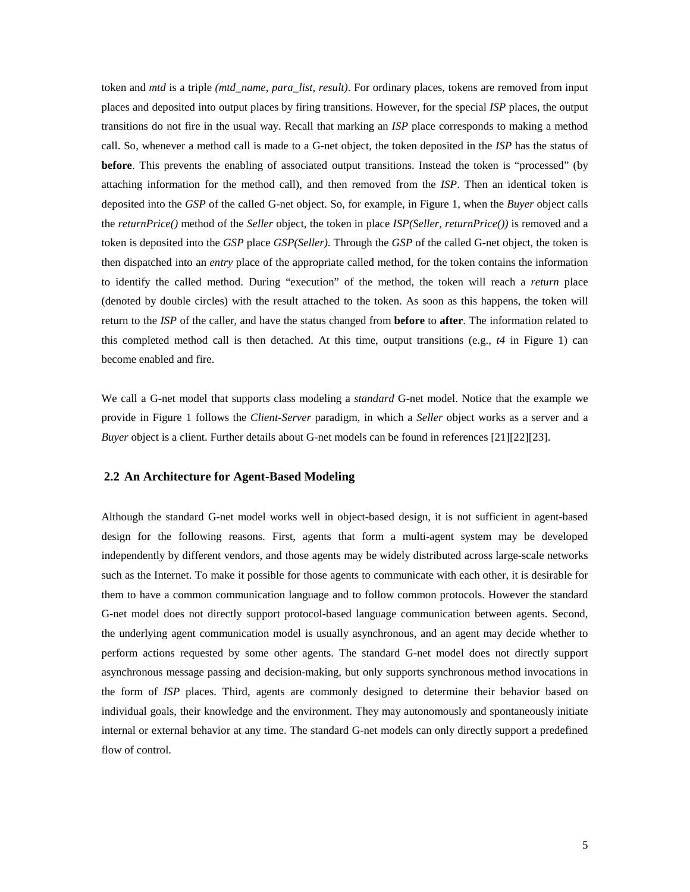token and *mtd* is a triple *(mtd\_name, para\_list, result)*. For ordinary places, tokens are removed from input places and deposited into output places by firing transitions. However, for the special *ISP* places, the output transitions do not fire in the usual way. Recall that marking an *ISP* place corresponds to making a method call. So, whenever a method call is made to a G-net object, the token deposited in the *ISP* has the status of **before**. This prevents the enabling of associated output transitions. Instead the token is "processed" (by attaching information for the method call), and then removed from the *ISP*. Then an identical token is deposited into the *GSP* of the called G-net object. So, for example, in Figure 1, when the *Buyer* object calls the *returnPrice()* method of the *Seller* object, the token in place *ISP(Seller, returnPrice())* is removed and a token is deposited into the *GSP* place *GSP(Seller)*. Through the *GSP* of the called G-net object, the token is then dispatched into an *entry* place of the appropriate called method, for the token contains the information to identify the called method. During "execution" of the method, the token will reach a *return* place (denoted by double circles) with the result attached to the token. As soon as this happens, the token will return to the *ISP* of the caller, and have the status changed from **before** to **after**. The information related to this completed method call is then detached. At this time, output transitions (e.g., *t4* in Figure 1) can become enabled and fire.

We call a G-net model that supports class modeling a *standard* G-net model. Notice that the example we provide in Figure 1 follows the *Client-Server* paradigm, in which a *Seller* object works as a server and a *Buyer* object is a client. Further details about G-net models can be found in references [21][22][23].

# **2.2 An Architecture for Agent-Based Modeling**

Although the standard G-net model works well in object-based design, it is not sufficient in agent-based design for the following reasons. First, agents that form a multi-agent system may be developed independently by different vendors, and those agents may be widely distributed across large-scale networks such as the Internet. To make it possible for those agents to communicate with each other, it is desirable for them to have a common communication language and to follow common protocols. However the standard G-net model does not directly support protocol-based language communication between agents. Second, the underlying agent communication model is usually asynchronous, and an agent may decide whether to perform actions requested by some other agents. The standard G-net model does not directly support asynchronous message passing and decision-making, but only supports synchronous method invocations in the form of *ISP* places. Third, agents are commonly designed to determine their behavior based on individual goals, their knowledge and the environment. They may autonomously and spontaneously initiate internal or external behavior at any time. The standard G-net models can only directly support a predefined flow of control.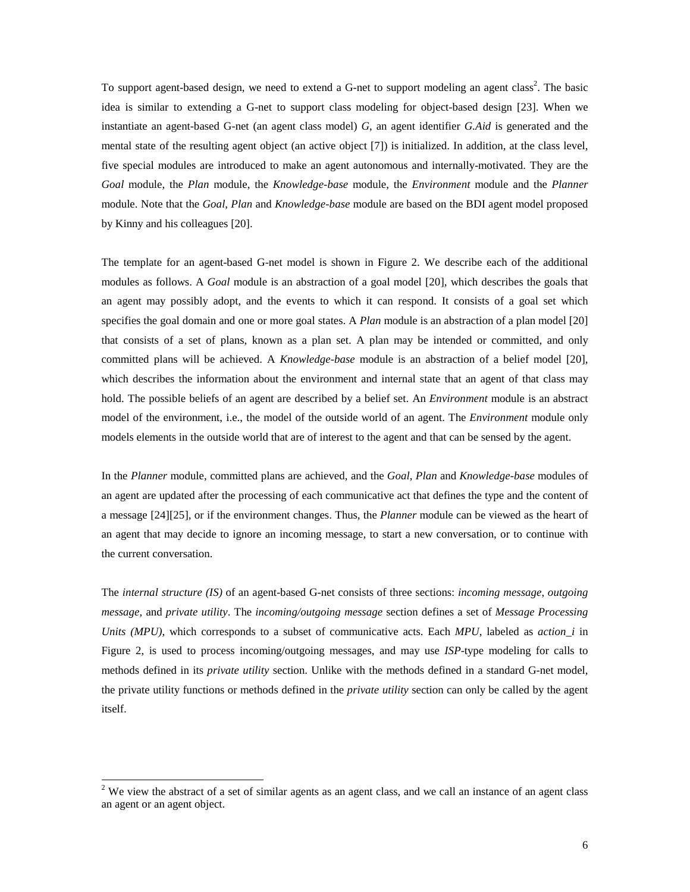To support agent-based design, we need to extend a G-net to support modeling an agent class<sup>2</sup>. The basic idea is similar to extending a G-net to support class modeling for object-based design [23]. When we instantiate an agent-based G-net (an agent class model) *G*, an agent identifier *G.Aid* is generated and the mental state of the resulting agent object (an active object [7]) is initialized. In addition, at the class level, five special modules are introduced to make an agent autonomous and internally-motivated. They are the *Goal* module, the *Plan* module, the *Knowledge-base* module, the *Environment* module and the *Planner* module. Note that the *Goal*, *Plan* and *Knowledge-base* module are based on the BDI agent model proposed by Kinny and his colleagues [20].

The template for an agent-based G-net model is shown in Figure 2. We describe each of the additional modules as follows. A *Goal* module is an abstraction of a goal model [20], which describes the goals that an agent may possibly adopt, and the events to which it can respond. It consists of a goal set which specifies the goal domain and one or more goal states. A *Plan* module is an abstraction of a plan model [20] that consists of a set of plans, known as a plan set. A plan may be intended or committed, and only committed plans will be achieved. A *Knowledge-base* module is an abstraction of a belief model [20], which describes the information about the environment and internal state that an agent of that class may hold. The possible beliefs of an agent are described by a belief set. An *Environment* module is an abstract model of the environment, i.e., the model of the outside world of an agent. The *Environment* module only models elements in the outside world that are of interest to the agent and that can be sensed by the agent.

In the *Planner* module, committed plans are achieved, and the *Goal*, *Plan* and *Knowledge-base* modules of an agent are updated after the processing of each communicative act that defines the type and the content of a message [24][25], or if the environment changes. Thus, the *Planner* module can be viewed as the heart of an agent that may decide to ignore an incoming message, to start a new conversation, or to continue with the current conversation.

The *internal structure (IS)* of an agent-based G-net consists of three sections: *incoming message*, *outgoing message*, and *private utility*. The *incoming/outgoing message* section defines a set of *Message Processing Units (MPU)*, which corresponds to a subset of communicative acts. Each *MPU*, labeled as *action\_i* in Figure 2, is used to process incoming/outgoing messages, and may use *ISP*-type modeling for calls to methods defined in its *private utility* section. Unlike with the methods defined in a standard G-net model, the private utility functions or methods defined in the *private utility* section can only be called by the agent itself.

 $\overline{a}$ 

 $2$  We view the abstract of a set of similar agents as an agent class, and we call an instance of an agent class an agent or an agent object.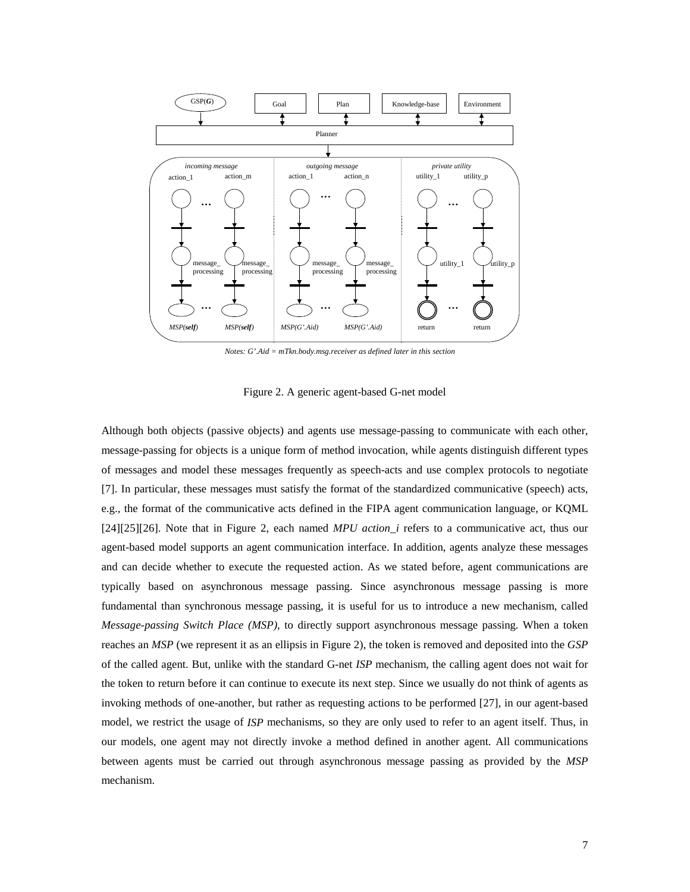

*Notes: G'.Aid = mTkn.body.msg.receiver as defined later in this section*

Figure 2. A generic agent-based G-net model

Although both objects (passive objects) and agents use message-passing to communicate with each other, message-passing for objects is a unique form of method invocation, while agents distinguish different types of messages and model these messages frequently as speech-acts and use complex protocols to negotiate [7]. In particular, these messages must satisfy the format of the standardized communicative (speech) acts, e.g., the format of the communicative acts defined in the FIPA agent communication language, or KQML [24][25][26]. Note that in Figure 2, each named *MPU action i* refers to a communicative act, thus our agent-based model supports an agent communication interface. In addition, agents analyze these messages and can decide whether to execute the requested action. As we stated before, agent communications are typically based on asynchronous message passing. Since asynchronous message passing is more fundamental than synchronous message passing, it is useful for us to introduce a new mechanism, called *Message-passing Switch Place (MSP)*, to directly support asynchronous message passing. When a token reaches an *MSP* (we represent it as an ellipsis in Figure 2), the token is removed and deposited into the *GSP* of the called agent. But, unlike with the standard G-net *ISP* mechanism, the calling agent does not wait for the token to return before it can continue to execute its next step. Since we usually do not think of agents as invoking methods of one-another, but rather as requesting actions to be performed [27], in our agent-based model, we restrict the usage of *ISP* mechanisms, so they are only used to refer to an agent itself. Thus, in our models, one agent may not directly invoke a method defined in another agent. All communications between agents must be carried out through asynchronous message passing as provided by the *MSP* mechanism.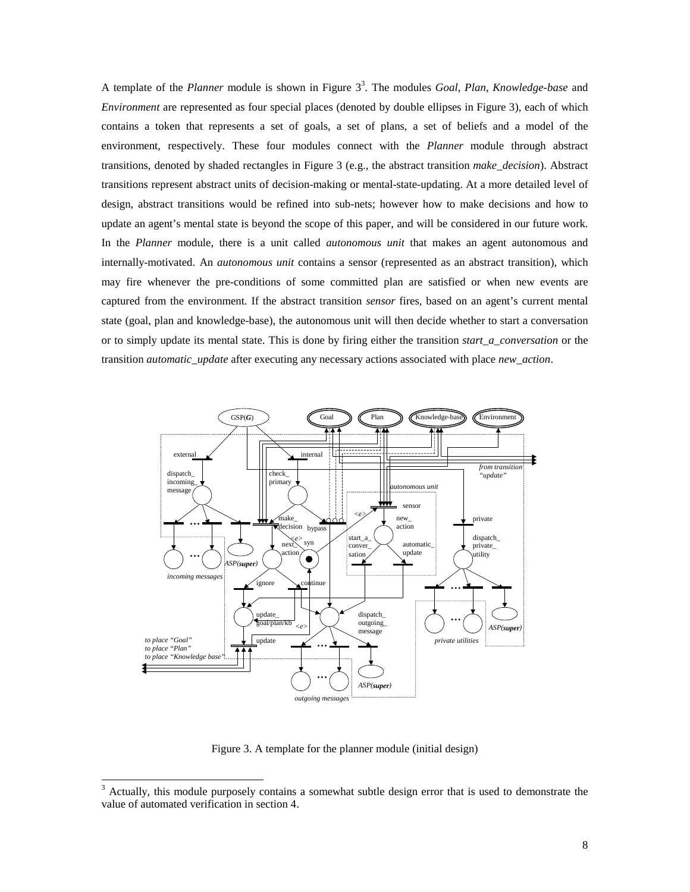A template of the *Planner* module is shown in Figure 3 3 . The modules *Goal*, *Plan*, *Knowledge-base* and *Environment* are represented as four special places (denoted by double ellipses in Figure 3), each of which contains a token that represents a set of goals, a set of plans, a set of beliefs and a model of the environment, respectively. These four modules connect with the *Planner* module through abstract transitions, denoted by shaded rectangles in Figure 3 (e.g., the abstract transition *make\_decision*). Abstract transitions represent abstract units of decision-making or mental-state-updating. At a more detailed level of design, abstract transitions would be refined into sub-nets; however how to make decisions and how to update an agent's mental state is beyond the scope of this paper, and will be considered in our future work. In the *Planner* module, there is a unit called *autonomous unit* that makes an agent autonomous and internally-motivated. An *autonomous unit* contains a sensor (represented as an abstract transition), which may fire whenever the pre-conditions of some committed plan are satisfied or when new events are captured from the environment. If the abstract transition *sensor* fires, based on an agent's current mental state (goal, plan and knowledge-base), the autonomous unit will then decide whether to start a conversation or to simply update its mental state. This is done by firing either the transition *start\_a\_conversation* or the transition *automatic\_update* after executing any necessary actions associated with place *new\_action*.



Figure 3. A template for the planner module (initial design)

 $\overline{a}$ 

 $3$  Actually, this module purposely contains a somewhat subtle design error that is used to demonstrate the value of automated verification in section 4.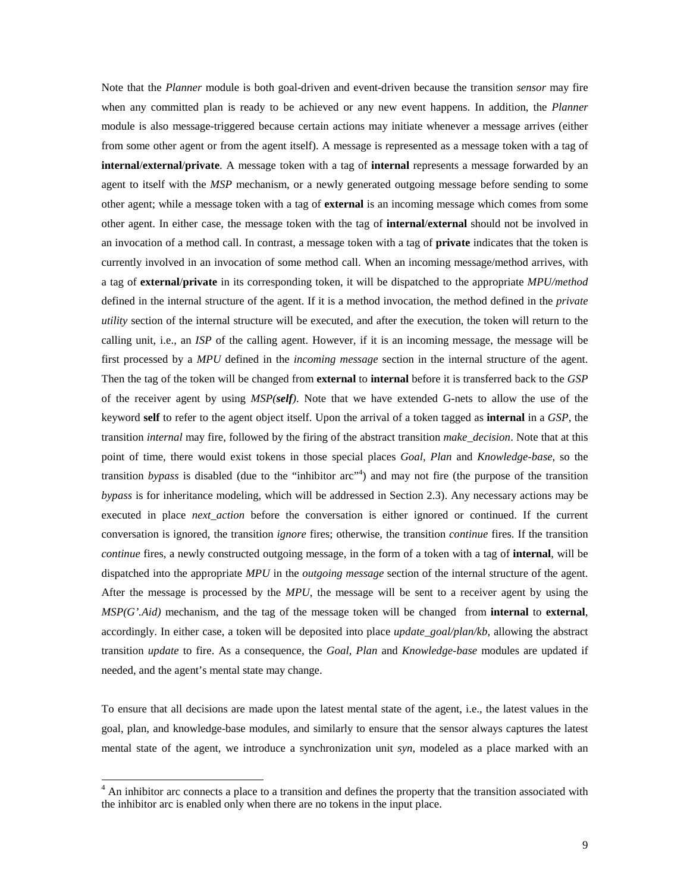Note that the *Planner* module is both goal-driven and event-driven because the transition *sensor* may fire when any committed plan is ready to be achieved or any new event happens. In addition, the *Planner* module is also message-triggered because certain actions may initiate whenever a message arrives (either from some other agent or from the agent itself). A message is represented as a message token with a tag of **internal**/**external**/**private**. A message token with a tag of **internal** represents a message forwarded by an agent to itself with the *MSP* mechanism, or a newly generated outgoing message before sending to some other agent; while a message token with a tag of **external** is an incoming message which comes from some other agent. In either case, the message token with the tag of **internal**/**external** should not be involved in an invocation of a method call. In contrast, a message token with a tag of **private** indicates that the token is currently involved in an invocation of some method call. When an incoming message/method arrives, with a tag of **external**/**private** in its corresponding token, it will be dispatched to the appropriate *MPU/method* defined in the internal structure of the agent. If it is a method invocation, the method defined in the *private utility* section of the internal structure will be executed, and after the execution, the token will return to the calling unit, i.e., an *ISP* of the calling agent. However, if it is an incoming message, the message will be first processed by a *MPU* defined in the *incoming message* section in the internal structure of the agent. Then the tag of the token will be changed from **external** to **internal** before it is transferred back to the *GSP* of the receiver agent by using *MSP(self)*. Note that we have extended G-nets to allow the use of the keyword **self** to refer to the agent object itself. Upon the arrival of a token tagged as **internal** in a *GSP*, the transition *internal* may fire, followed by the firing of the abstract transition *make\_decision*. Note that at this point of time, there would exist tokens in those special places *Goal*, *Plan* and *Knowledge-base*, so the transition *bypass* is disabled (due to the "inhibitor arc"<sup>4</sup>) and may not fire (the purpose of the transition *bypass* is for inheritance modeling, which will be addressed in Section 2.3). Any necessary actions may be executed in place *next\_action* before the conversation is either ignored or continued. If the current conversation is ignored, the transition *ignore* fires; otherwise, the transition *continue* fires. If the transition *continue* fires, a newly constructed outgoing message, in the form of a token with a tag of **internal**, will be dispatched into the appropriate *MPU* in the *outgoing message* section of the internal structure of the agent. After the message is processed by the *MPU*, the message will be sent to a receiver agent by using the *MSP(G'.Aid)* mechanism, and the tag of the message token will be changed from **internal** to **external**, accordingly. In either case, a token will be deposited into place *update\_goal/plan/kb*, allowing the abstract transition *update* to fire. As a consequence, the *Goal*, *Plan* and *Knowledge-base* modules are updated if needed, and the agent's mental state may change.

To ensure that all decisions are made upon the latest mental state of the agent, i.e., the latest values in the goal, plan, and knowledge-base modules, and similarly to ensure that the sensor always captures the latest mental state of the agent, we introduce a synchronization unit *syn*, modeled as a place marked with an

 $\overline{a}$ 

 $4$  An inhibitor arc connects a place to a transition and defines the property that the transition associated with the inhibitor arc is enabled only when there are no tokens in the input place.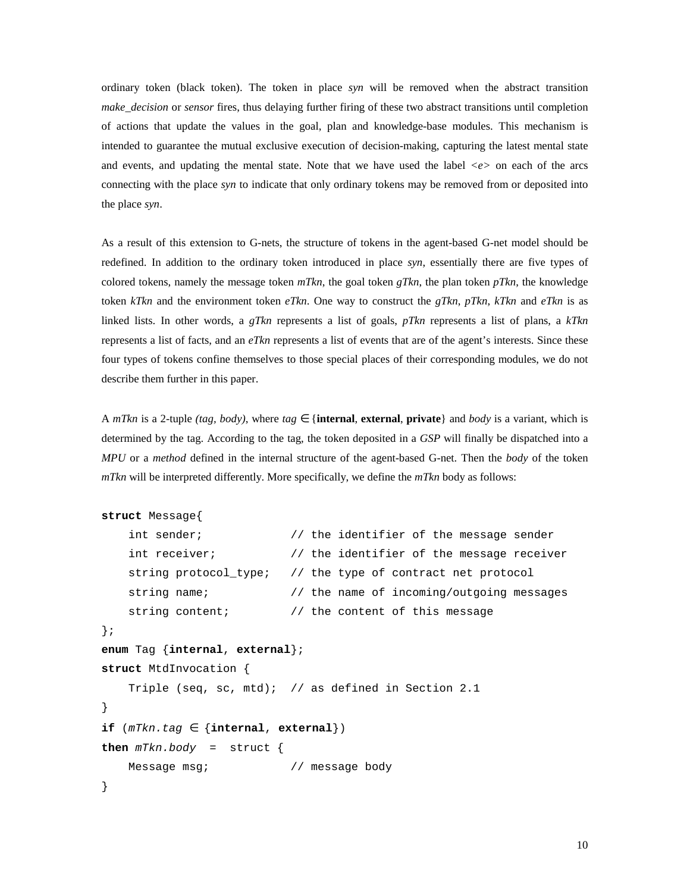ordinary token (black token). The token in place *syn* will be removed when the abstract transition *make\_decision* or *sensor* fires, thus delaying further firing of these two abstract transitions until completion of actions that update the values in the goal, plan and knowledge-base modules. This mechanism is intended to guarantee the mutual exclusive execution of decision-making, capturing the latest mental state and events, and updating the mental state. Note that we have used the label  $\langle e \rangle$  on each of the arcs connecting with the place *syn* to indicate that only ordinary tokens may be removed from or deposited into the place *syn*.

As a result of this extension to G-nets, the structure of tokens in the agent-based G-net model should be redefined. In addition to the ordinary token introduced in place *syn*, essentially there are five types of colored tokens, namely the message token *mTkn*, the goal token *gTkn*, the plan token *pTkn*, the knowledge token *kTkn* and the environment token *eTkn*. One way to construct the *gTkn*, *pTkn*, *kTkn* and *eTkn* is as linked lists. In other words, a *gTkn* represents a list of goals, *pTkn* represents a list of plans, a *kTkn*  represents a list of facts, and an *eTkn* represents a list of events that are of the agent's interests. Since these four types of tokens confine themselves to those special places of their corresponding modules, we do not describe them further in this paper.

A *mTkn* is a 2-tuple *(tag, body)*, where *tag* ∈ {**internal**, **external**, **private**} and *body* is a variant, which is determined by the tag. According to the tag, the token deposited in a *GSP* will finally be dispatched into a *MPU* or a *method* defined in the internal structure of the agent-based G-net. Then the *body* of the token *mTkn* will be interpreted differently. More specifically, we define the *mTkn* body as follows:

```
struct Message{ 
    int sender; // the identifier of the message sender
    int receiver; // the identifier of the message receiver 
   string protocol type; // the type of contract net protocol
    string name; // the name of incoming/outgoing messages
   string content; \frac{1}{1 + \epsilon} // the content of this message
}; 
enum Tag {internal, external};
struct MtdInvocation {
    Triple (seq, sc, mtd); // as defined in Section 2.1
} 
if (mTkn.tag \in \{internal, external\})then mTkn.body = structMessage msg; \frac{1}{2} message body
}
```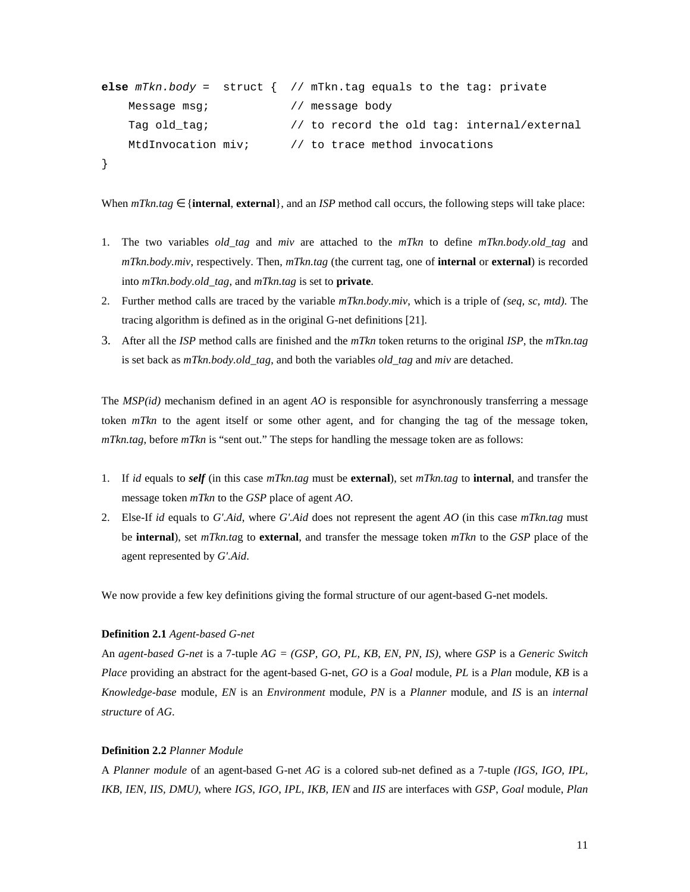```
else mTkn.body = struct { // mTkn.tag equals to the tag: private
   Message msg; \frac{1}{2} // message body
    Tag old_tag; // to record the old tag: internal/external
    MtdInvocation miv; // to trace method invocations 
}
```
When  $mTkn.tag \in \{internal, external\}$ , and an *ISP* method call occurs, the following steps will take place:

- 1. The two variables *old\_tag* and *miv* are attached to the *mTkn* to define *mTkn.body.old\_tag* and *mTkn.body.miv*, respectively. Then, *mTkn.tag* (the current tag, one of **internal** or **external**) is recorded into *mTkn.body.old\_tag*, and *mTkn.tag* is set to **private**.
- 2. Further method calls are traced by the variable *mTkn.body.miv*, which is a triple of *(seq, sc, mtd)*. The tracing algorithm is defined as in the original G-net definitions [21].
- 3. After all the *ISP* method calls are finished and the *mTkn* token returns to the original *ISP*, the *mTkn.tag* is set back as *mTkn.body.old\_tag*, and both the variables *old\_tag* and *miv* are detached.

The *MSP(id)* mechanism defined in an agent *AO* is responsible for asynchronously transferring a message token  $mTkn$  to the agent itself or some other agent, and for changing the tag of the message token, *mTkn.tag*, before *mTkn* is "sent out." The steps for handling the message token are as follows:

- 1. If *id* equals to *self* (in this case *mTkn.tag* must be **external**), set *mTkn.tag* to **internal**, and transfer the message token *mTkn* to the *GSP* place of agent *AO*.
- 2. Else-If *id* equals to *G'.Aid*, where *G'.Aid* does not represent the agent *AO* (in this case *mTkn.tag* must be **internal**), set *mTkn.ta*g to **external**, and transfer the message token *mTkn* to the *GSP* place of the agent represented by *G'.Aid*.

We now provide a few key definitions giving the formal structure of our agent-based G-net models.

#### **Definition 2.1** *Agent-based G-net*

An *agent-based G-net* is a 7-tuple *AG = (GSP, GO, PL, KB, EN, PN, IS)*, where *GSP* is a *Generic Switch Place* providing an abstract for the agent-based G-net, *GO* is a *Goal* module, *PL* is a *Plan* module, *KB* is a *Knowledge-base* module, *EN* is an *Environment* module, *PN* is a *Planner* module, and *IS* is an *internal structure* of *AG*.

## **Definition 2.2** *Planner Module*

A *Planner module* of an agent-based G-net *AG* is a colored sub-net defined as a 7-tuple *(IGS, IGO, IPL, IKB, IEN, IIS, DMU)*, where *IGS*, *IGO*, *IPL*, *IKB, IEN* and *IIS* are interfaces with *GSP*, *Goal* module, *Plan*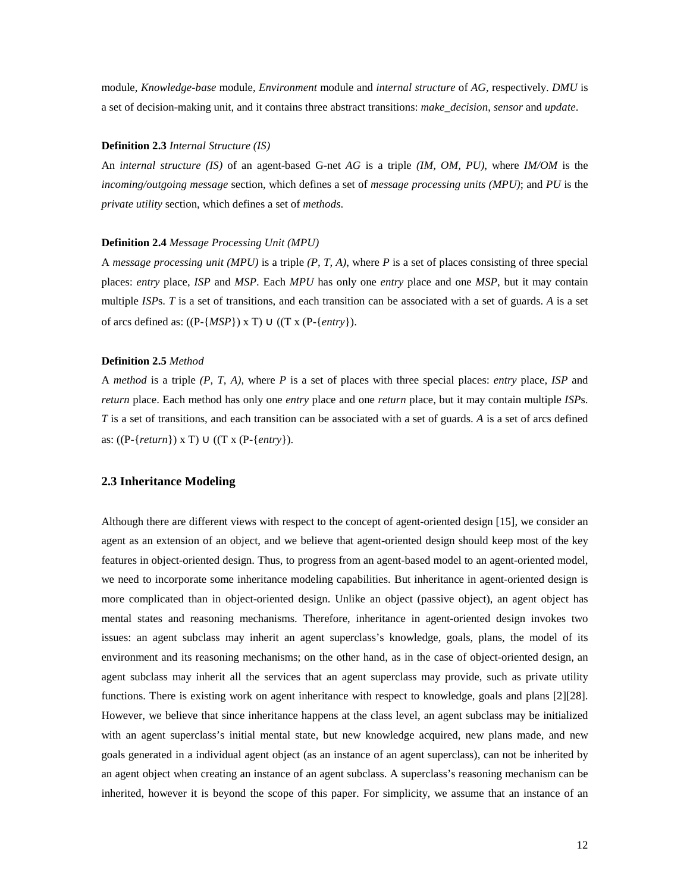module, *Knowledge-base* module, *Environment* module and *internal structure* of *AG,* respectively. *DMU* is a set of decision-making unit, and it contains three abstract transitions: *make\_decision*, *sensor* and *update*.

#### **Definition 2.3** *Internal Structure (IS)*

An *internal structure (IS)* of an agent-based G-net *AG* is a triple *(IM, OM, PU)*, where *IM/OM* is the *incoming/outgoing message* section, which defines a set of *message processing units (MPU)*; and *PU* is the *private utility* section, which defines a set of *methods*.

#### **Definition 2.4** *Message Processing Unit (MPU)*

A *message processing unit (MPU)* is a triple *(P, T, A)*, where *P* is a set of places consisting of three special places: *entry* place, *ISP* and *MSP*. Each *MPU* has only one *entry* place and one *MSP*, but it may contain multiple *ISP*s. *T* is a set of transitions, and each transition can be associated with a set of guards. *A* is a set of arcs defined as:  $((P-{MSP}) \times T) \cup ((T \times (P-{entry})).$ 

#### **Definition 2.5** *Method*

A *method* is a triple *(P, T, A)*, where *P* is a set of places with three special places: *entry* place, *ISP* and *return* place. Each method has only one *entry* place and one *return* place, but it may contain multiple *ISP*s. *T* is a set of transitions, and each transition can be associated with a set of guards. *A* is a set of arcs defined as: ((P-{*return*}) x T) ∪ ((T x (P-{*entry*}).

# **2.3 Inheritance Modeling**

Although there are different views with respect to the concept of agent-oriented design [15], we consider an agent as an extension of an object, and we believe that agent-oriented design should keep most of the key features in object-oriented design. Thus, to progress from an agent-based model to an agent-oriented model, we need to incorporate some inheritance modeling capabilities. But inheritance in agent-oriented design is more complicated than in object-oriented design. Unlike an object (passive object), an agent object has mental states and reasoning mechanisms. Therefore, inheritance in agent-oriented design invokes two issues: an agent subclass may inherit an agent superclass's knowledge, goals, plans, the model of its environment and its reasoning mechanisms; on the other hand, as in the case of object-oriented design, an agent subclass may inherit all the services that an agent superclass may provide, such as private utility functions. There is existing work on agent inheritance with respect to knowledge, goals and plans [2][28]. However, we believe that since inheritance happens at the class level, an agent subclass may be initialized with an agent superclass's initial mental state, but new knowledge acquired, new plans made, and new goals generated in a individual agent object (as an instance of an agent superclass), can not be inherited by an agent object when creating an instance of an agent subclass. A superclass's reasoning mechanism can be inherited, however it is beyond the scope of this paper. For simplicity, we assume that an instance of an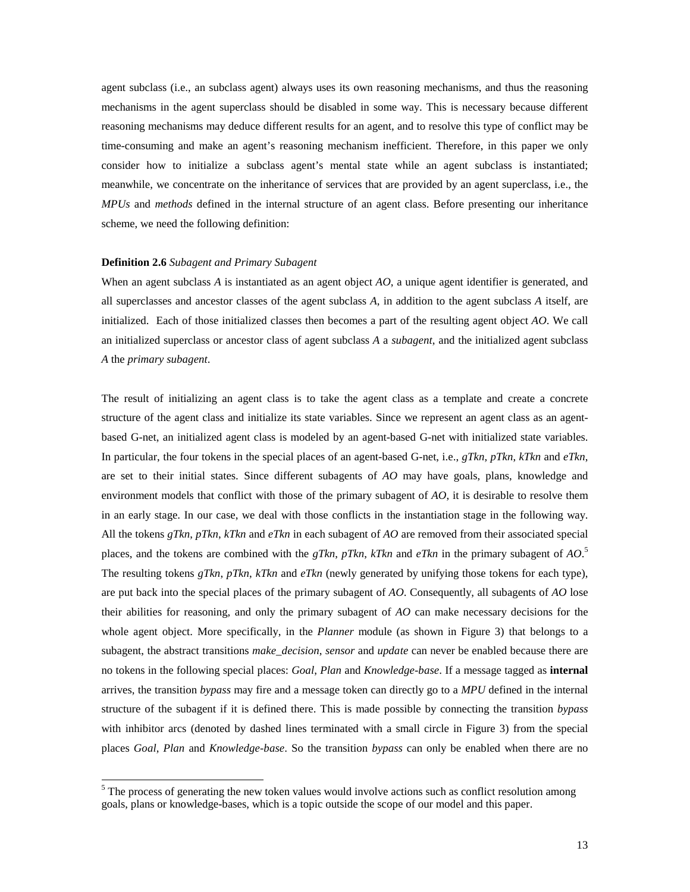agent subclass (i.e., an subclass agent) always uses its own reasoning mechanisms, and thus the reasoning mechanisms in the agent superclass should be disabled in some way. This is necessary because different reasoning mechanisms may deduce different results for an agent, and to resolve this type of conflict may be time-consuming and make an agent's reasoning mechanism inefficient. Therefore, in this paper we only consider how to initialize a subclass agent's mental state while an agent subclass is instantiated; meanwhile, we concentrate on the inheritance of services that are provided by an agent superclass, i.e., the *MPUs* and *methods* defined in the internal structure of an agent class. Before presenting our inheritance scheme, we need the following definition:

#### **Definition 2.6** *Subagent and Primary Subagent*

 $\overline{a}$ 

When an agent subclass *A* is instantiated as an agent object *AO*, a unique agent identifier is generated, and all superclasses and ancestor classes of the agent subclass *A*, in addition to the agent subclass *A* itself, are initialized. Each of those initialized classes then becomes a part of the resulting agent object *AO*. We call an initialized superclass or ancestor class of agent subclass *A* a *subagent*, and the initialized agent subclass *A* the *primary subagent*.

The result of initializing an agent class is to take the agent class as a template and create a concrete structure of the agent class and initialize its state variables. Since we represent an agent class as an agentbased G-net, an initialized agent class is modeled by an agent-based G-net with initialized state variables. In particular, the four tokens in the special places of an agent-based G-net, i.e., *gTkn*, *pTkn*, *kTkn* and *eTkn*, are set to their initial states. Since different subagents of *AO* may have goals, plans, knowledge and environment models that conflict with those of the primary subagent of *AO*, it is desirable to resolve them in an early stage. In our case, we deal with those conflicts in the instantiation stage in the following way. All the tokens *gTkn*, *pTkn*, *kTkn* and *eTkn* in each subagent of *AO* are removed from their associated special places, and the tokens are combined with the *gTkn*, *pTkn*, *kTkn* and *eTkn* in the primary subagent of *AO*. 5 The resulting tokens *gTkn*, *pTkn*, *kTkn* and *eTkn* (newly generated by unifying those tokens for each type), are put back into the special places of the primary subagent of *AO*. Consequently, all subagents of *AO* lose their abilities for reasoning, and only the primary subagent of *AO* can make necessary decisions for the whole agent object. More specifically, in the *Planner* module (as shown in Figure 3) that belongs to a subagent, the abstract transitions *make\_decision*, *sensor* and *update* can never be enabled because there are no tokens in the following special places: *Goal*, *Plan* and *Knowledge-base*. If a message tagged as **internal**  arrives, the transition *bypass* may fire and a message token can directly go to a *MPU* defined in the internal structure of the subagent if it is defined there. This is made possible by connecting the transition *bypass* with inhibitor arcs (denoted by dashed lines terminated with a small circle in Figure 3) from the special places *Goal*, *Plan* and *Knowledge-base*. So the transition *bypass* can only be enabled when there are no

 $<sup>5</sup>$  The process of generating the new token values would involve actions such as conflict resolution among</sup> goals, plans or knowledge-bases, which is a topic outside the scope of our model and this paper.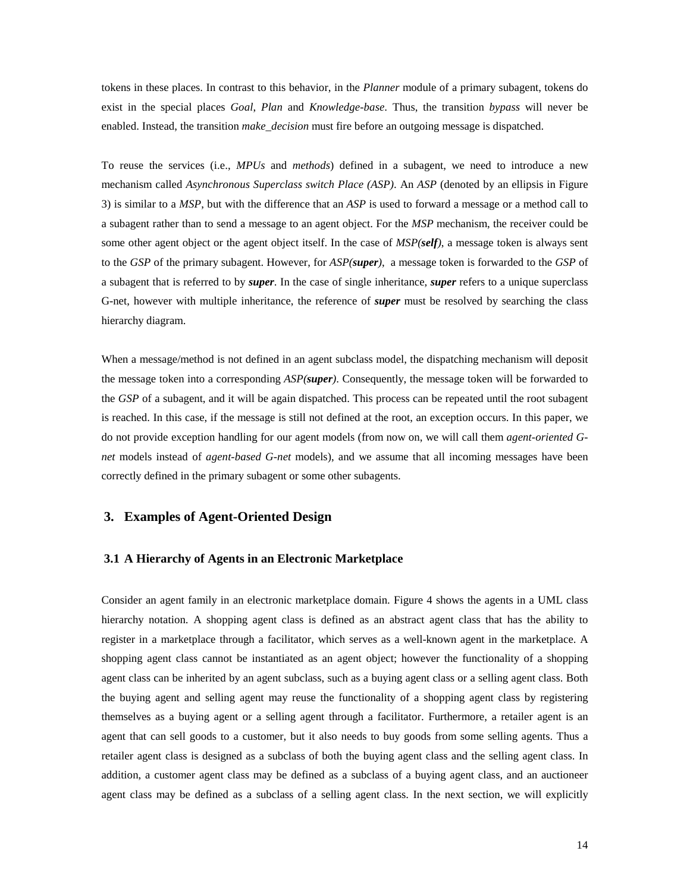tokens in these places. In contrast to this behavior, in the *Planner* module of a primary subagent, tokens do exist in the special places *Goal*, *Plan* and *Knowledge-base*. Thus, the transition *bypass* will never be enabled. Instead, the transition *make* decision must fire before an outgoing message is dispatched.

To reuse the services (i.e., *MPUs* and *methods*) defined in a subagent, we need to introduce a new mechanism called *Asynchronous Superclass switch Place (ASP)*. An *ASP* (denoted by an ellipsis in Figure 3) is similar to a *MSP*, but with the difference that an *ASP* is used to forward a message or a method call to a subagent rather than to send a message to an agent object. For the *MSP* mechanism, the receiver could be some other agent object or the agent object itself. In the case of *MSP(self)*, a message token is always sent to the *GSP* of the primary subagent. However, for *ASP(super)*, a message token is forwarded to the *GSP* of a subagent that is referred to by *super*. In the case of single inheritance, *super* refers to a unique superclass G-net, however with multiple inheritance, the reference of *super* must be resolved by searching the class hierarchy diagram.

When a message/method is not defined in an agent subclass model, the dispatching mechanism will deposit the message token into a corresponding *ASP(super)*. Consequently, the message token will be forwarded to the *GSP* of a subagent, and it will be again dispatched. This process can be repeated until the root subagent is reached. In this case, if the message is still not defined at the root, an exception occurs. In this paper, we do not provide exception handling for our agent models (from now on, we will call them *agent-oriented Gnet* models instead of *agent-based G-net* models), and we assume that all incoming messages have been correctly defined in the primary subagent or some other subagents.

# **3. Examples of Agent-Oriented Design**

# **3.1 A Hierarchy of Agents in an Electronic Marketplace**

Consider an agent family in an electronic marketplace domain. Figure 4 shows the agents in a UML class hierarchy notation. A shopping agent class is defined as an abstract agent class that has the ability to register in a marketplace through a facilitator, which serves as a well-known agent in the marketplace. A shopping agent class cannot be instantiated as an agent object; however the functionality of a shopping agent class can be inherited by an agent subclass, such as a buying agent class or a selling agent class. Both the buying agent and selling agent may reuse the functionality of a shopping agent class by registering themselves as a buying agent or a selling agent through a facilitator. Furthermore, a retailer agent is an agent that can sell goods to a customer, but it also needs to buy goods from some selling agents. Thus a retailer agent class is designed as a subclass of both the buying agent class and the selling agent class. In addition, a customer agent class may be defined as a subclass of a buying agent class, and an auctioneer agent class may be defined as a subclass of a selling agent class. In the next section, we will explicitly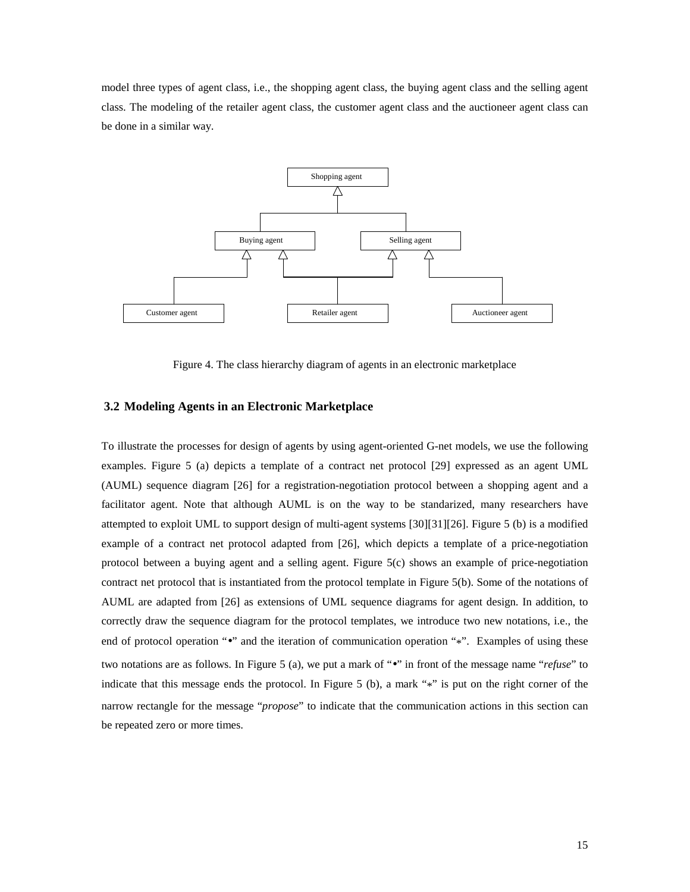model three types of agent class, i.e., the shopping agent class, the buying agent class and the selling agent class. The modeling of the retailer agent class, the customer agent class and the auctioneer agent class can be done in a similar way.



Figure 4. The class hierarchy diagram of agents in an electronic marketplace

# **3.2 Modeling Agents in an Electronic Marketplace**

To illustrate the processes for design of agents by using agent-oriented G-net models, we use the following examples. Figure 5 (a) depicts a template of a contract net protocol [29] expressed as an agent UML (AUML) sequence diagram [26] for a registration-negotiation protocol between a shopping agent and a facilitator agent. Note that although AUML is on the way to be standarized, many researchers have attempted to exploit UML to support design of multi-agent systems [30][31][26]. Figure 5 (b) is a modified example of a contract net protocol adapted from [26], which depicts a template of a price-negotiation protocol between a buying agent and a selling agent. Figure 5(c) shows an example of price-negotiation contract net protocol that is instantiated from the protocol template in Figure 5(b). Some of the notations of AUML are adapted from [26] as extensions of UML sequence diagrams for agent design. In addition, to correctly draw the sequence diagram for the protocol templates, we introduce two new notations, i.e., the end of protocol operation "•" and the iteration of communication operation "\*". Examples of using these two notations are as follows. In Figure 5 (a), we put a mark of "•" in front of the message name "*refuse*" to indicate that this message ends the protocol. In Figure 5 (b), a mark "\*" is put on the right corner of the narrow rectangle for the message "*propose*" to indicate that the communication actions in this section can be repeated zero or more times.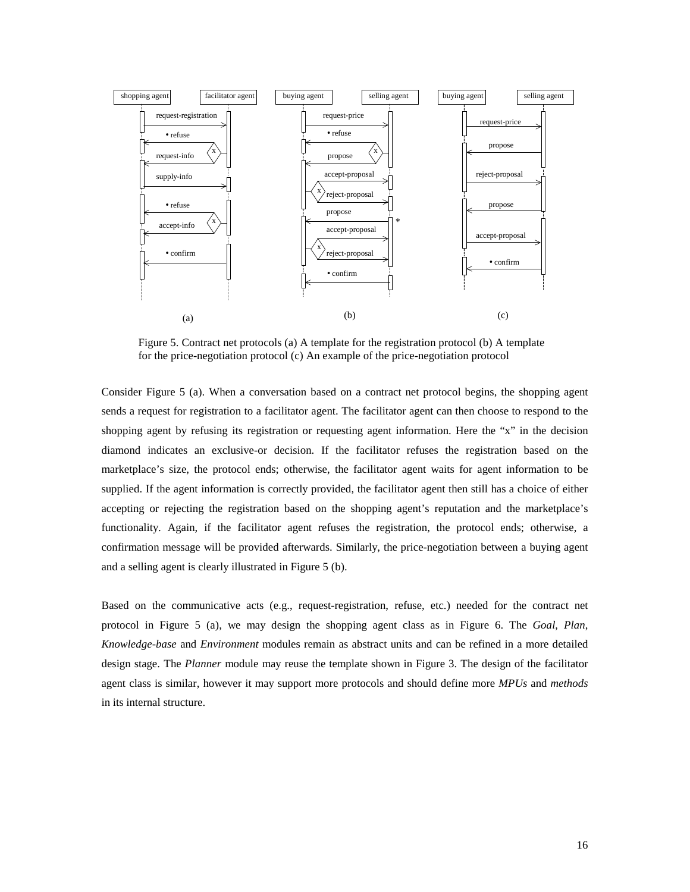

 Figure 5. Contract net protocols (a) A template for the registration protocol (b) A template for the price-negotiation protocol (c) An example of the price-negotiation protocol

Consider Figure 5 (a). When a conversation based on a contract net protocol begins, the shopping agent sends a request for registration to a facilitator agent. The facilitator agent can then choose to respond to the shopping agent by refusing its registration or requesting agent information. Here the "x" in the decision diamond indicates an exclusive-or decision. If the facilitator refuses the registration based on the marketplace's size, the protocol ends; otherwise, the facilitator agent waits for agent information to be supplied. If the agent information is correctly provided, the facilitator agent then still has a choice of either accepting or rejecting the registration based on the shopping agent's reputation and the marketplace's functionality. Again, if the facilitator agent refuses the registration, the protocol ends; otherwise, a confirmation message will be provided afterwards. Similarly, the price-negotiation between a buying agent and a selling agent is clearly illustrated in Figure 5 (b).

Based on the communicative acts (e.g., request-registration, refuse, etc.) needed for the contract net protocol in Figure 5 (a), we may design the shopping agent class as in Figure 6. The *Goal*, *Plan*, *Knowledge-base* and *Environment* modules remain as abstract units and can be refined in a more detailed design stage. The *Planner* module may reuse the template shown in Figure 3. The design of the facilitator agent class is similar, however it may support more protocols and should define more *MPUs* and *methods* in its internal structure.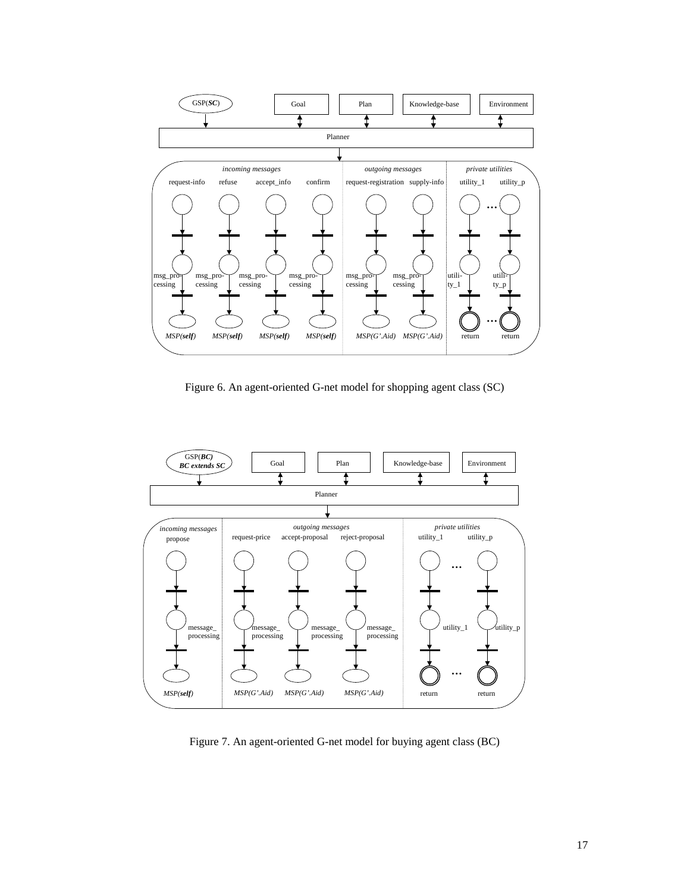

Figure 6. An agent-oriented G-net model for shopping agent class (SC)



Figure 7. An agent-oriented G-net model for buying agent class (BC)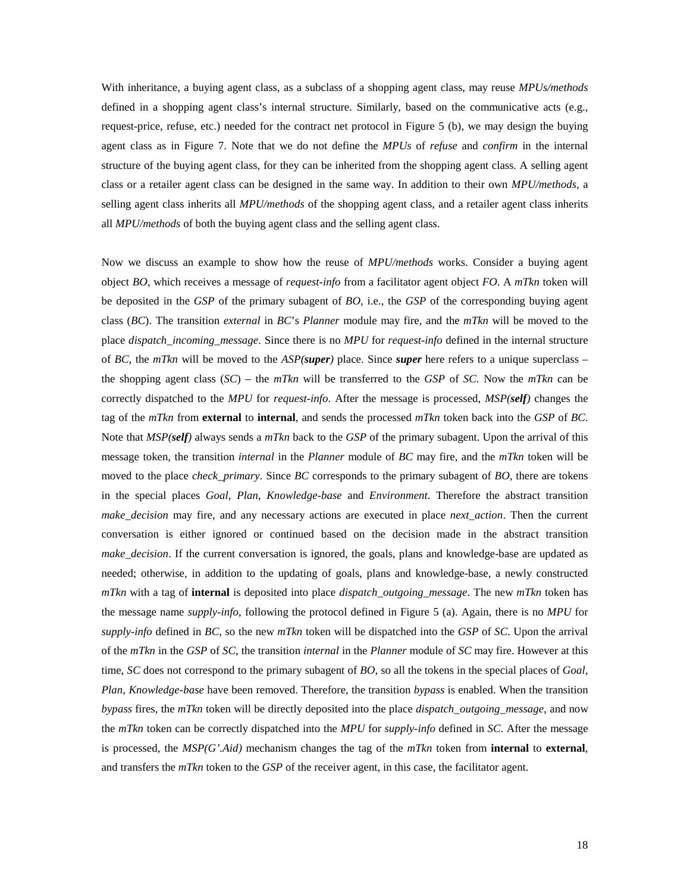With inheritance, a buying agent class, as a subclass of a shopping agent class, may reuse *MPUs/methods* defined in a shopping agent class's internal structure. Similarly, based on the communicative acts (e.g., request-price, refuse, etc.) needed for the contract net protocol in Figure 5 (b), we may design the buying agent class as in Figure 7. Note that we do not define the *MPUs* of *refuse* and *confirm* in the internal structure of the buying agent class, for they can be inherited from the shopping agent class. A selling agent class or a retailer agent class can be designed in the same way. In addition to their own *MPU/methods*, a selling agent class inherits all *MPU/methods* of the shopping agent class, and a retailer agent class inherits all *MPU/methods* of both the buying agent class and the selling agent class.

Now we discuss an example to show how the reuse of *MPU/methods* works. Consider a buying agent object *BO*, which receives a message of *request-info* from a facilitator agent object *FO*. A *mTkn* token will be deposited in the *GSP* of the primary subagent of *BO*, i.e., the *GSP* of the corresponding buying agent class (*BC*). The transition *external* in *BC*'s *Planner* module may fire, and the *mTkn* will be moved to the place *dispatch\_incoming\_message*. Since there is no *MPU* for *request-info* defined in the internal structure of *BC*, the *mTkn* will be moved to the *ASP(super)* place. Since *super* here refers to a unique superclass – the shopping agent class (*SC*) – the *mTkn* will be transferred to the *GSP* of *SC*. Now the *mTkn* can be correctly dispatched to the *MPU* for *request-info*. After the message is processed, *MSP(self)* changes the tag of the *mTkn* from **external** to **internal**, and sends the processed *mTkn* token back into the *GSP* of *BC*. Note that *MSP(self)* always sends a *mTkn* back to the *GSP* of the primary subagent. Upon the arrival of this message token, the transition *internal* in the *Planner* module of *BC* may fire, and the *mTkn* token will be moved to the place *check\_primary*. Since *BC* corresponds to the primary subagent of *BO*, there are tokens in the special places *Goal*, *Plan*, *Knowledge-base* and *Environment*. Therefore the abstract transition *make\_decision* may fire, and any necessary actions are executed in place *next\_action*. Then the current conversation is either ignored or continued based on the decision made in the abstract transition *make\_decision*. If the current conversation is ignored, the goals, plans and knowledge-base are updated as needed; otherwise, in addition to the updating of goals, plans and knowledge-base, a newly constructed *mTkn* with a tag of **internal** is deposited into place *dispatch\_outgoing\_message*. The new *mTkn* token has the message name *supply-info*, following the protocol defined in Figure 5 (a). Again, there is no *MPU* for *supply-info* defined in *BC*, so the new *mTkn* token will be dispatched into the *GSP* of *SC*. Upon the arrival of the *mTkn* in the *GSP* of *SC*, the transition *internal* in the *Planner* module of *SC* may fire. However at this time, *SC* does not correspond to the primary subagent of *BO*, so all the tokens in the special places of *Goal*, *Plan*, *Knowledge-base* have been removed. Therefore, the transition *bypass* is enabled. When the transition *bypass* fires, the *mTkn* token will be directly deposited into the place *dispatch\_outgoing\_message*, and now the *mTkn* token can be correctly dispatched into the *MPU* for *supply-info* defined in *SC*. After the message is processed, the *MSP(G'.Aid)* mechanism changes the tag of the *mTkn* token from **internal** to **external**, and transfers the *mTkn* token to the *GSP* of the receiver agent, in this case, the facilitator agent.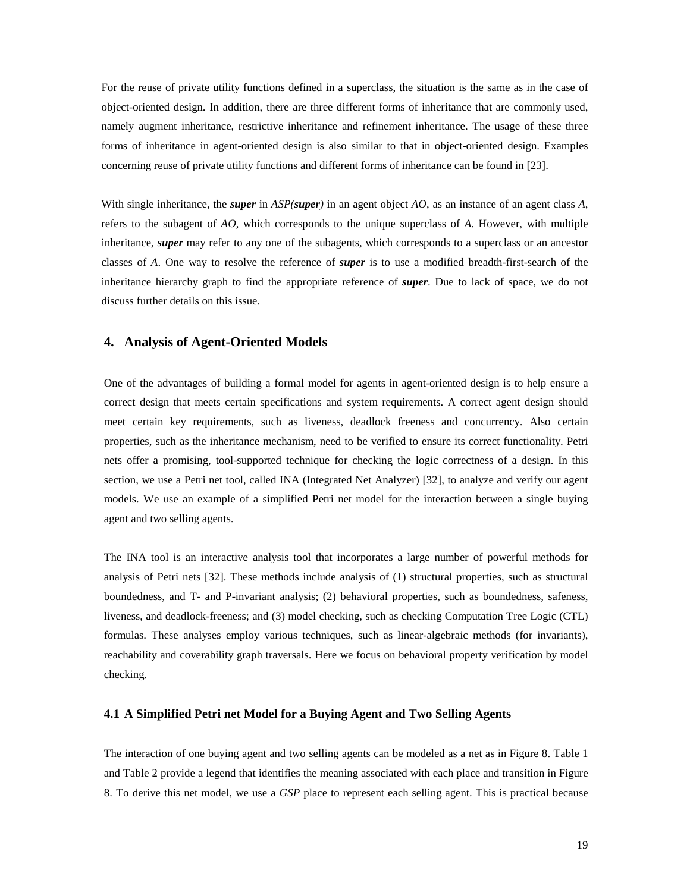For the reuse of private utility functions defined in a superclass, the situation is the same as in the case of object-oriented design. In addition, there are three different forms of inheritance that are commonly used, namely augment inheritance, restrictive inheritance and refinement inheritance. The usage of these three forms of inheritance in agent-oriented design is also similar to that in object-oriented design. Examples concerning reuse of private utility functions and different forms of inheritance can be found in [23].

With single inheritance, the *super* in *ASP(super)* in an agent object *AO*, as an instance of an agent class *A*, refers to the subagent of *AO*, which corresponds to the unique superclass of *A*. However, with multiple inheritance, *super* may refer to any one of the subagents, which corresponds to a superclass or an ancestor classes of *A*. One way to resolve the reference of *super* is to use a modified breadth-first-search of the inheritance hierarchy graph to find the appropriate reference of *super*. Due to lack of space, we do not discuss further details on this issue.

# **4. Analysis of Agent-Oriented Models**

One of the advantages of building a formal model for agents in agent-oriented design is to help ensure a correct design that meets certain specifications and system requirements. A correct agent design should meet certain key requirements, such as liveness, deadlock freeness and concurrency. Also certain properties, such as the inheritance mechanism, need to be verified to ensure its correct functionality. Petri nets offer a promising, tool-supported technique for checking the logic correctness of a design. In this section, we use a Petri net tool, called INA (Integrated Net Analyzer) [32], to analyze and verify our agent models. We use an example of a simplified Petri net model for the interaction between a single buying agent and two selling agents.

The INA tool is an interactive analysis tool that incorporates a large number of powerful methods for analysis of Petri nets [32]. These methods include analysis of (1) structural properties, such as structural boundedness, and T- and P-invariant analysis; (2) behavioral properties, such as boundedness, safeness, liveness, and deadlock-freeness; and (3) model checking, such as checking Computation Tree Logic (CTL) formulas. These analyses employ various techniques, such as linear-algebraic methods (for invariants), reachability and coverability graph traversals. Here we focus on behavioral property verification by model checking.

#### **4.1 A Simplified Petri net Model for a Buying Agent and Two Selling Agents**

The interaction of one buying agent and two selling agents can be modeled as a net as in Figure 8. Table 1 and Table 2 provide a legend that identifies the meaning associated with each place and transition in Figure 8. To derive this net model, we use a *GSP* place to represent each selling agent. This is practical because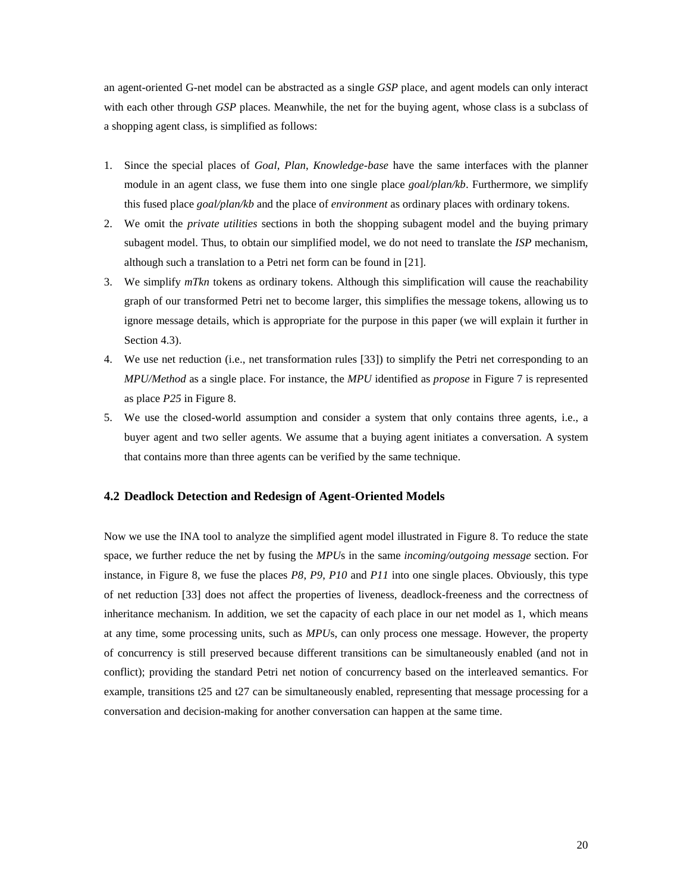an agent-oriented G-net model can be abstracted as a single *GSP* place, and agent models can only interact with each other through *GSP* places. Meanwhile, the net for the buying agent, whose class is a subclass of a shopping agent class, is simplified as follows:

- 1. Since the special places of *Goal*, *Plan*, *Knowledge-base* have the same interfaces with the planner module in an agent class, we fuse them into one single place *goal/plan/kb*. Furthermore, we simplify this fused place *goal/plan/kb* and the place of *environment* as ordinary places with ordinary tokens.
- 2. We omit the *private utilities* sections in both the shopping subagent model and the buying primary subagent model. Thus, to obtain our simplified model, we do not need to translate the *ISP* mechanism, although such a translation to a Petri net form can be found in [21].
- 3. We simplify *mTkn* tokens as ordinary tokens. Although this simplification will cause the reachability graph of our transformed Petri net to become larger, this simplifies the message tokens, allowing us to ignore message details, which is appropriate for the purpose in this paper (we will explain it further in Section 4.3).
- 4. We use net reduction (i.e., net transformation rules [33]) to simplify the Petri net corresponding to an *MPU/Method* as a single place. For instance, the *MPU* identified as *propose* in Figure 7 is represented as place *P25* in Figure 8.
- 5. We use the closed-world assumption and consider a system that only contains three agents, i.e., a buyer agent and two seller agents. We assume that a buying agent initiates a conversation. A system that contains more than three agents can be verified by the same technique.

# **4.2 Deadlock Detection and Redesign of Agent-Oriented Models**

Now we use the INA tool to analyze the simplified agent model illustrated in Figure 8. To reduce the state space, we further reduce the net by fusing the *MPU*s in the same *incoming/outgoing message* section. For instance, in Figure 8, we fuse the places *P8*, *P9*, *P10* and *P11* into one single places. Obviously, this type of net reduction [33] does not affect the properties of liveness, deadlock-freeness and the correctness of inheritance mechanism. In addition, we set the capacity of each place in our net model as 1, which means at any time, some processing units, such as *MPU*s, can only process one message. However, the property of concurrency is still preserved because different transitions can be simultaneously enabled (and not in conflict); providing the standard Petri net notion of concurrency based on the interleaved semantics. For example, transitions t25 and t27 can be simultaneously enabled, representing that message processing for a conversation and decision-making for another conversation can happen at the same time.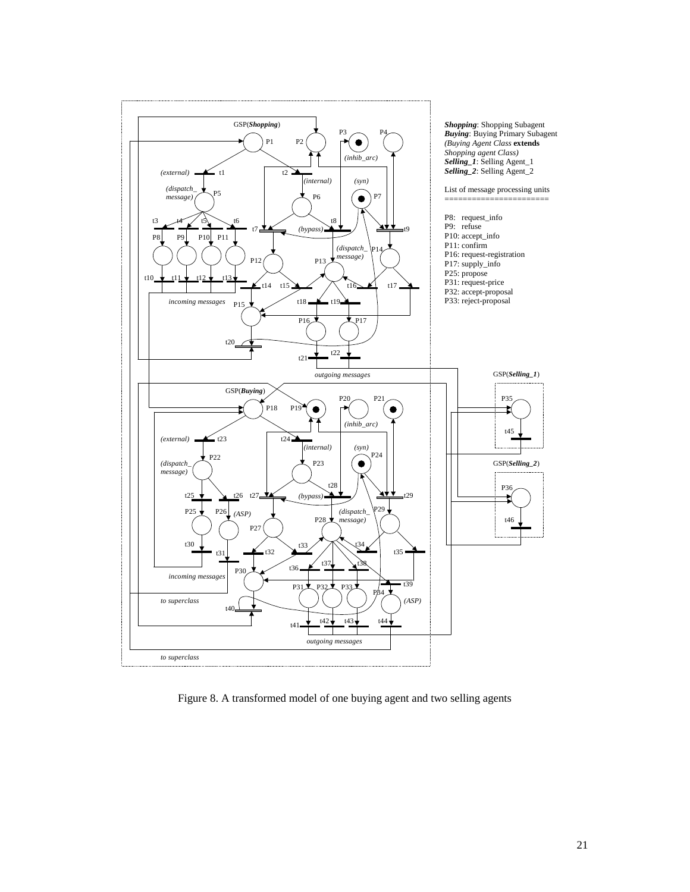

Figure 8. A transformed model of one buying agent and two selling agents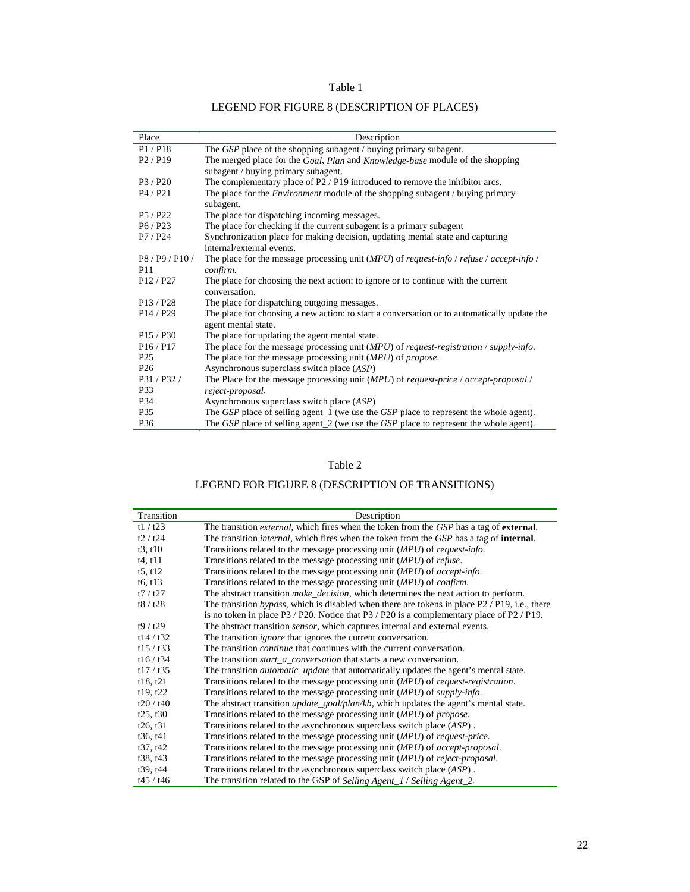# Table 1

# LEGEND FOR FIGURE 8 (DESCRIPTION OF PLACES)

| Place                             | Description                                                                                            |
|-----------------------------------|--------------------------------------------------------------------------------------------------------|
| P1/P18                            | The GSP place of the shopping subagent / buying primary subagent.                                      |
| P2/P19                            | The merged place for the Goal, Plan and Knowledge-base module of the shopping                          |
|                                   | subagent / buying primary subagent.                                                                    |
| P3/P20                            | The complementary place of P2 / P19 introduced to remove the inhibitor arcs.                           |
| P <sub>4</sub> / P <sub>21</sub>  | The place for the <i>Environment</i> module of the shopping subagent / buying primary                  |
|                                   | subagent.                                                                                              |
| P <sub>5</sub> / P <sub>22</sub>  | The place for dispatching incoming messages.                                                           |
| P6/P23                            | The place for checking if the current subagent is a primary subagent                                   |
| P7/P24                            | Synchronization place for making decision, updating mental state and capturing                         |
|                                   | internal/external events.                                                                              |
| P8 / P9 / P10 /                   | The place for the message processing unit (MPU) of request-info / refuse / accept-info /               |
| <b>P11</b>                        | confirm.                                                                                               |
| P <sub>12</sub> / P <sub>27</sub> | The place for choosing the next action: to ignore or to continue with the current                      |
|                                   | conversation.                                                                                          |
| P <sub>13</sub> / P <sub>28</sub> | The place for dispatching outgoing messages.                                                           |
| P <sub>14</sub> / P <sub>29</sub> | The place for choosing a new action: to start a conversation or to automatically update the            |
|                                   | agent mental state.                                                                                    |
| P <sub>15</sub> / P <sub>30</sub> | The place for updating the agent mental state.                                                         |
| P <sub>16</sub> / P <sub>17</sub> | The place for the message processing unit $(MPU)$ of <i>request-registration</i> / <i>supply-info.</i> |
| P <sub>25</sub>                   | The place for the message processing unit (MPU) of propose.                                            |
| P <sub>26</sub>                   | Asynchronous superclass switch place (ASP)                                                             |
| P31/P32/                          | The Place for the message processing unit ( $MPU$ ) of request-price / accept-proposal /               |
| P33                               | reject-proposal.                                                                                       |
| P34                               | Asynchronous superclass switch place (ASP)                                                             |
| P35                               | The GSP place of selling agent 1 (we use the GSP place to represent the whole agent).                  |
| P36                               | The $GSP$ place of selling agent $2$ (we use the $GSP$ place to represent the whole agent).            |

# Table 2

# LEGEND FOR FIGURE 8 (DESCRIPTION OF TRANSITIONS)

| Transition    | Description                                                                                                    |
|---------------|----------------------------------------------------------------------------------------------------------------|
| t1 / t23      | The transition <i>external</i> , which fires when the token from the GSP has a tag of <b>external</b> .        |
| t2 / t24      | The transition <i>internal</i> , which fires when the token from the <i>GSP</i> has a tag of <b>internal</b> . |
| t3, t10       | Transitions related to the message processing unit (MPU) of <i>request-info</i> .                              |
| t4, t11       | Transitions related to the message processing unit (MPU) of <i>refuse</i> .                                    |
| t5, t12       | Transitions related to the message processing unit (MPU) of accept-info.                                       |
| t6, t13       | Transitions related to the message processing unit (MPU) of confirm.                                           |
| t7 / t27      | The abstract transition <i>make decision</i> , which determines the next action to perform.                    |
| t $8/$ t $28$ | The transition bypass, which is disabled when there are tokens in place P2 / P19, i.e., there                  |
|               | is no token in place P $3$ / P20. Notice that P $3$ / P20 is a complementary place of P $2$ / P19.             |
| t9 / t29      | The abstract transition <i>sensor</i> , which captures internal and external events.                           |
| t14 / t32     | The transition <i>ignore</i> that ignores the current conversation.                                            |
| t15 / t33     | The transition <i>continue</i> that continues with the current conversation.                                   |
| t16 / t34     | The transition <i>start a conversation</i> that starts a new conversation.                                     |
| t17 / t35     | The transition <i>automatic_update</i> that automatically updates the agent's mental state.                    |
| t18, t21      | Transitions related to the message processing unit (MPU) of request-registration.                              |
| t19, t22      | Transitions related to the message processing unit (MPU) of supply-info.                                       |
| t20 / t40     | The abstract transition <i>update_goal/plan/kb</i> , which updates the agent's mental state.                   |
| t25, t30      | Transitions related to the message processing unit (MPU) of <i>propose</i> .                                   |
| t26, t31      | Transitions related to the asynchronous superclass switch place $(ASP)$ .                                      |
| t36, t41      | Transitions related to the message processing unit (MPU) of <i>request-price</i> .                             |
| t37, t42      | Transitions related to the message processing unit (MPU) of accept-proposal.                                   |
| t38, t43      | Transitions related to the message processing unit (MPU) of reject-proposal.                                   |
| t39, t44      | Transitions related to the asynchronous superclass switch place $(ASP)$ .                                      |
| t45 / t46     | The transition related to the GSP of Selling Agent $\frac{1}{S}$ / Selling Agent $\frac{2}{S}$ .               |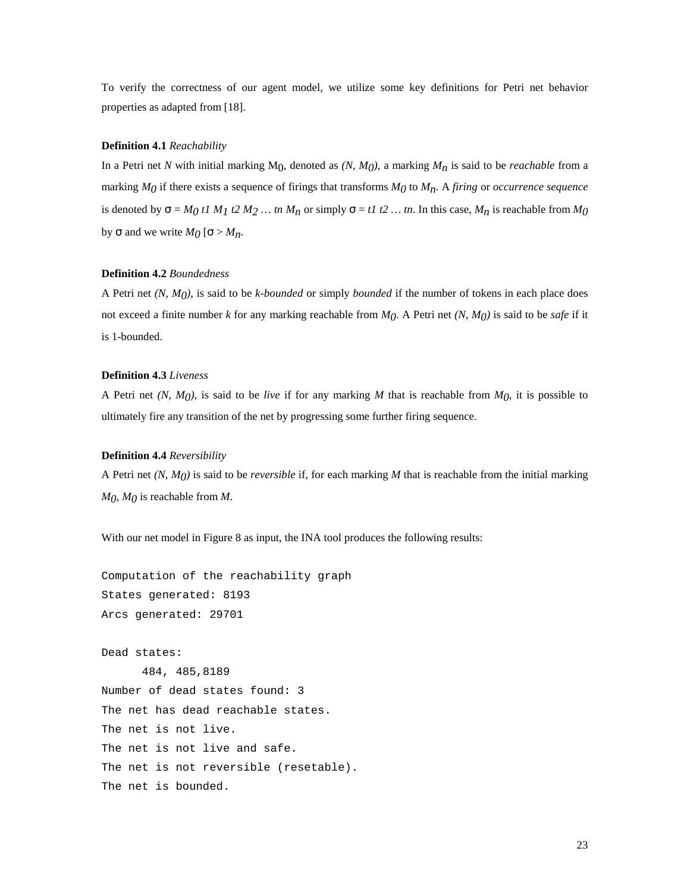To verify the correctness of our agent model, we utilize some key definitions for Petri net behavior properties as adapted from [18].

#### **Definition 4.1** *Reachability*

In a Petri net *N* with initial marking  $M_0$ , denoted as  $(N, M_0)$ , a marking  $M_n$  is said to be *reachable* from a marking *M0* if there exists a sequence of firings that transforms *M0* to *Mn*. A *firing* or *occurrence sequence* is denoted by  $\sigma = M_0 t1 M_1 t2 M_2 ...$  th  $M_n$  or simply  $\sigma = t1 t2 ...$  th. In this case,  $M_n$  is reachable from  $M_0$ by σ and we write  $M_0$  [σ >  $M_n$ .

# **Definition 4.2** *Boundedness*

A Petri net *(N, M0)*, is said to be *k-bounded* or simply *bounded* if the number of tokens in each place does not exceed a finite number *k* for any marking reachable from *M0*. A Petri net *(N, M0)* is said to be *safe* if it is 1-bounded.

#### **Definition 4.3** *Liveness*

A Petri net *(N, M0)*, is said to be *live* if for any marking *M* that is reachable from *M0*, it is possible to ultimately fire any transition of the net by progressing some further firing sequence.

#### **Definition 4.4** *Reversibility*

A Petri net *(N, M0)* is said to be *reversible* if, for each marking *M* that is reachable from the initial marking *M0*, *M0* is reachable from *M*.

With our net model in Figure 8 as input, the INA tool produces the following results:

```
Computation of the reachability graph
States generated: 8193
Arcs generated: 29701
```
Dead states: 484, 485,8189 Number of dead states found: 3 The net has dead reachable states. The net is not live. The net is not live and safe. The net is not reversible (resetable). The net is bounded.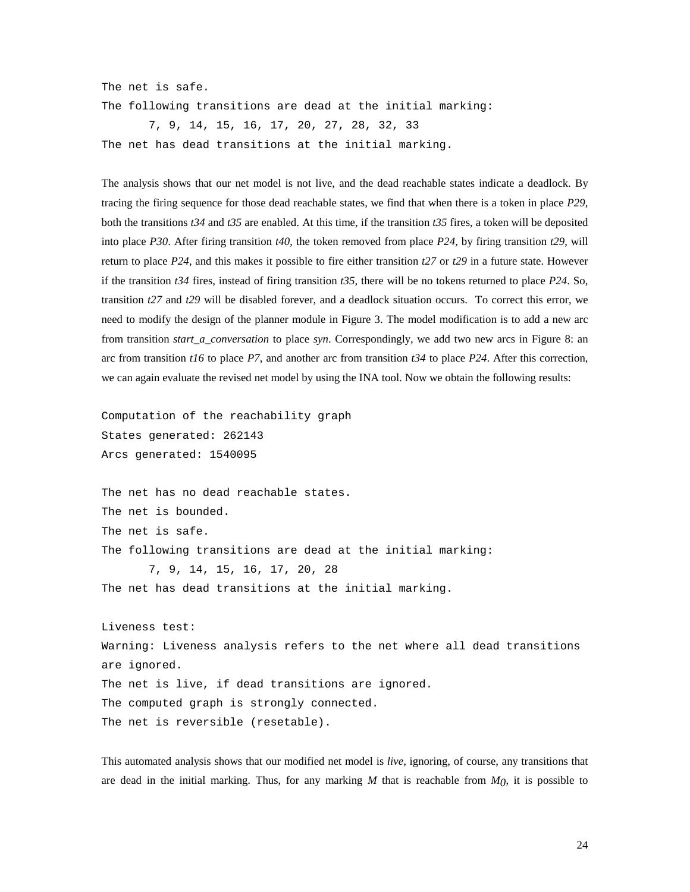The net is safe. The following transitions are dead at the initial marking: 7, 9, 14, 15, 16, 17, 20, 27, 28, 32, 33 The net has dead transitions at the initial marking.

The analysis shows that our net model is not live, and the dead reachable states indicate a deadlock. By tracing the firing sequence for those dead reachable states, we find that when there is a token in place *P29*, both the transitions *t34* and *t35* are enabled. At this time, if the transition *t35* fires, a token will be deposited into place *P30*. After firing transition *t40*, the token removed from place *P24*, by firing transition *t29*, will return to place *P24*, and this makes it possible to fire either transition *t27* or *t29* in a future state. However if the transition *t34* fires, instead of firing transition *t35*, there will be no tokens returned to place *P24*. So, transition *t27* and *t29* will be disabled forever, and a deadlock situation occurs. To correct this error, we need to modify the design of the planner module in Figure 3. The model modification is to add a new arc from transition *start\_a\_conversation* to place *syn*. Correspondingly, we add two new arcs in Figure 8: an arc from transition *t16* to place *P7*, and another arc from transition *t34* to place *P24*. After this correction, we can again evaluate the revised net model by using the INA tool. Now we obtain the following results:

Computation of the reachability graph States generated: 262143 Arcs generated: 1540095

The net has no dead reachable states. The net is bounded. The net is safe. The following transitions are dead at the initial marking: 7, 9, 14, 15, 16, 17, 20, 28 The net has dead transitions at the initial marking.

Liveness test: Warning: Liveness analysis refers to the net where all dead transitions are ignored. The net is live, if dead transitions are ignored. The computed graph is strongly connected. The net is reversible (resetable).

This automated analysis shows that our modified net model is *live*, ignoring, of course, any transitions that are dead in the initial marking. Thus, for any marking  $M$  that is reachable from  $M<sub>0</sub>$ , it is possible to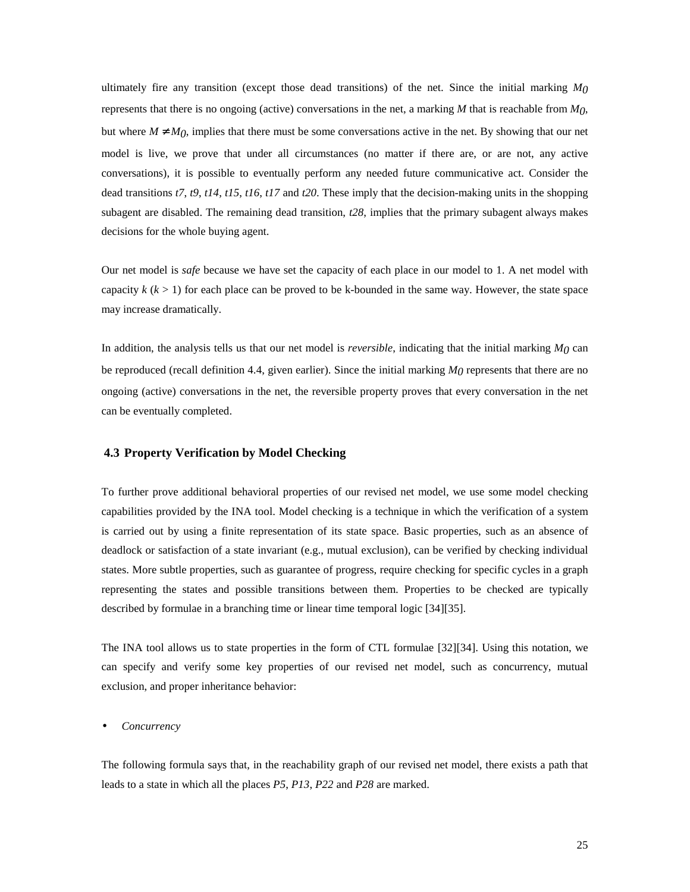ultimately fire any transition (except those dead transitions) of the net. Since the initial marking *M0* represents that there is no ongoing (active) conversations in the net, a marking *M* that is reachable from *M0*, but where  $M \neq M_0$ , implies that there must be some conversations active in the net. By showing that our net model is live, we prove that under all circumstances (no matter if there are, or are not, any active conversations), it is possible to eventually perform any needed future communicative act. Consider the dead transitions *t7*, *t9*, *t14*, *t15*, *t16*, *t17* and *t20*. These imply that the decision-making units in the shopping subagent are disabled. The remaining dead transition, *t28*, implies that the primary subagent always makes decisions for the whole buying agent.

Our net model is *safe* because we have set the capacity of each place in our model to 1. A net model with capacity  $k$  ( $k > 1$ ) for each place can be proved to be k-bounded in the same way. However, the state space may increase dramatically.

In addition, the analysis tells us that our net model is *reversible*, indicating that the initial marking  $M<sub>0</sub>$  can be reproduced (recall definition 4.4, given earlier). Since the initial marking  $M<sub>0</sub>$  represents that there are no ongoing (active) conversations in the net, the reversible property proves that every conversation in the net can be eventually completed.

# **4.3 Property Verification by Model Checking**

To further prove additional behavioral properties of our revised net model, we use some model checking capabilities provided by the INA tool. Model checking is a technique in which the verification of a system is carried out by using a finite representation of its state space. Basic properties, such as an absence of deadlock or satisfaction of a state invariant (e.g., mutual exclusion), can be verified by checking individual states. More subtle properties, such as guarantee of progress, require checking for specific cycles in a graph representing the states and possible transitions between them. Properties to be checked are typically described by formulae in a branching time or linear time temporal logic [34][35].

The INA tool allows us to state properties in the form of CTL formulae [32][34]. Using this notation, we can specify and verify some key properties of our revised net model, such as concurrency, mutual exclusion, and proper inheritance behavior:

• *Concurrency*

The following formula says that, in the reachability graph of our revised net model, there exists a path that leads to a state in which all the places *P5*, *P13*, *P22* and *P28* are marked.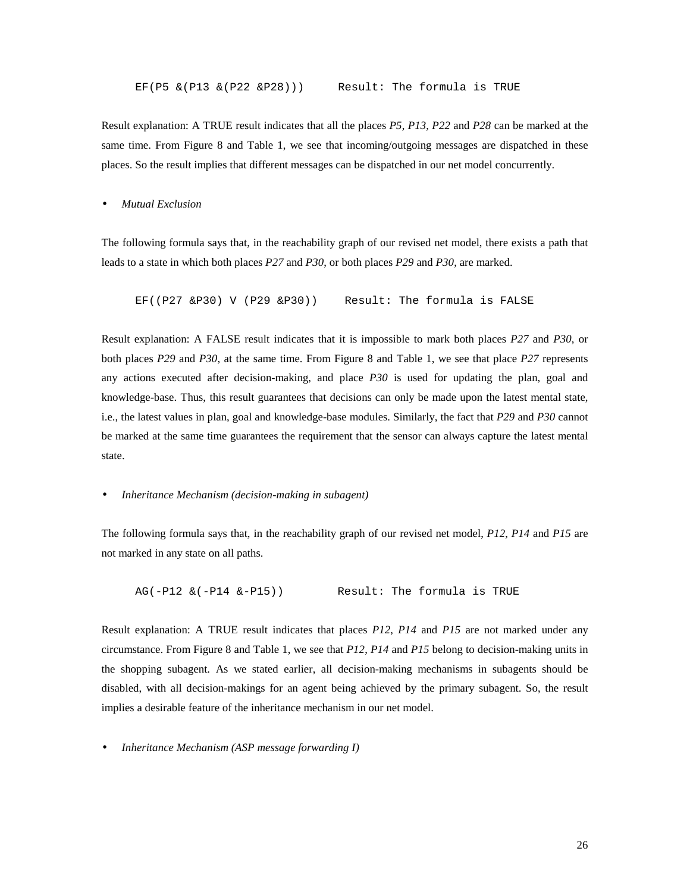EF(P5 &(P13 &(P22 &P28))) Result: The formula is TRUE

Result explanation: A TRUE result indicates that all the places *P5*, *P13*, *P22* and *P28* can be marked at the same time. From Figure 8 and Table 1, we see that incoming/outgoing messages are dispatched in these places. So the result implies that different messages can be dispatched in our net model concurrently.

• *Mutual Exclusion*

The following formula says that, in the reachability graph of our revised net model, there exists a path that leads to a state in which both places *P27* and *P30*, or both places *P29* and *P30*, are marked.

EF((P27 &P30) V (P29 &P30)) Result: The formula is FALSE

Result explanation: A FALSE result indicates that it is impossible to mark both places *P27* and *P30*, or both places *P29* and *P30*, at the same time. From Figure 8 and Table 1, we see that place *P27* represents any actions executed after decision-making, and place *P30* is used for updating the plan, goal and knowledge-base. Thus, this result guarantees that decisions can only be made upon the latest mental state, i.e., the latest values in plan, goal and knowledge-base modules. Similarly, the fact that *P29* and *P30* cannot be marked at the same time guarantees the requirement that the sensor can always capture the latest mental state.

#### • *Inheritance Mechanism (decision-making in subagent)*

The following formula says that, in the reachability graph of our revised net model, *P12*, *P14* and *P15* are not marked in any state on all paths.

AG(-P12 &(-P14 &-P15)) Result: The formula is TRUE

Result explanation: A TRUE result indicates that places *P12*, *P14* and *P15* are not marked under any circumstance. From Figure 8 and Table 1, we see that *P12*, *P14* and *P15* belong to decision-making units in the shopping subagent. As we stated earlier, all decision-making mechanisms in subagents should be disabled, with all decision-makings for an agent being achieved by the primary subagent. So, the result implies a desirable feature of the inheritance mechanism in our net model.

• *Inheritance Mechanism (ASP message forwarding I)*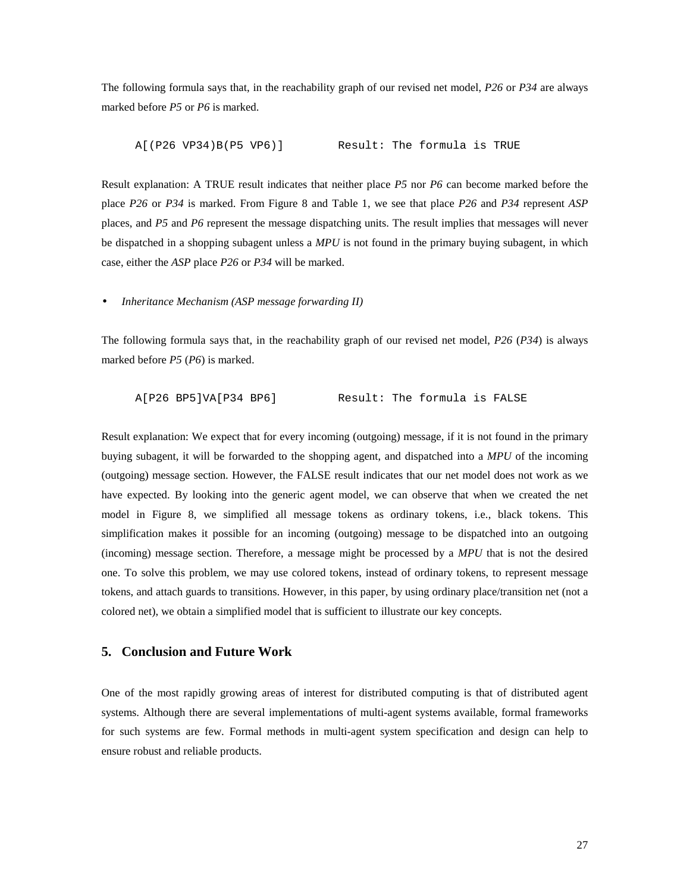The following formula says that, in the reachability graph of our revised net model, *P26* or *P34* are always marked before *P5* or *P6* is marked.

A[(P26 VP34)B(P5 VP6)] Result: The formula is TRUE

Result explanation: A TRUE result indicates that neither place *P5* nor *P6* can become marked before the place *P26* or *P34* is marked. From Figure 8 and Table 1, we see that place *P26* and *P34* represent *ASP* places, and *P5* and *P6* represent the message dispatching units. The result implies that messages will never be dispatched in a shopping subagent unless a *MPU* is not found in the primary buying subagent, in which case, either the *ASP* place *P26* or *P34* will be marked.

• *Inheritance Mechanism (ASP message forwarding II)*

The following formula says that, in the reachability graph of our revised net model, *P26* (*P34*) is always marked before *P5* (*P6*) is marked.

A[P26 BP5]VA[P34 BP6] Result: The formula is FALSE

Result explanation: We expect that for every incoming (outgoing) message, if it is not found in the primary buying subagent, it will be forwarded to the shopping agent, and dispatched into a *MPU* of the incoming (outgoing) message section. However, the FALSE result indicates that our net model does not work as we have expected. By looking into the generic agent model, we can observe that when we created the net model in Figure 8, we simplified all message tokens as ordinary tokens, i.e., black tokens. This simplification makes it possible for an incoming (outgoing) message to be dispatched into an outgoing (incoming) message section. Therefore, a message might be processed by a *MPU* that is not the desired one. To solve this problem, we may use colored tokens, instead of ordinary tokens, to represent message tokens, and attach guards to transitions. However, in this paper, by using ordinary place/transition net (not a colored net), we obtain a simplified model that is sufficient to illustrate our key concepts.

# **5. Conclusion and Future Work**

One of the most rapidly growing areas of interest for distributed computing is that of distributed agent systems. Although there are several implementations of multi-agent systems available, formal frameworks for such systems are few. Formal methods in multi-agent system specification and design can help to ensure robust and reliable products.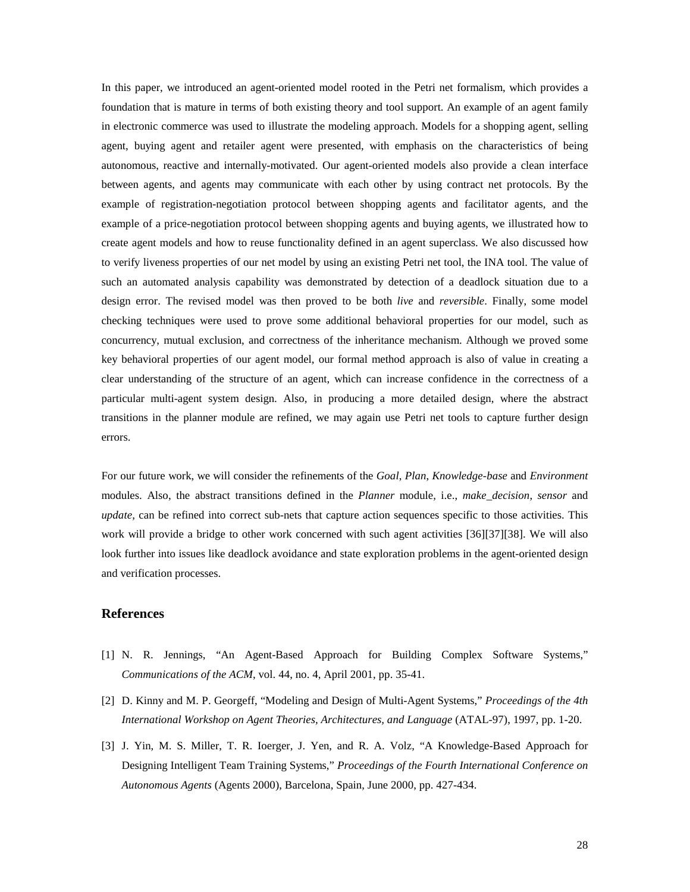In this paper, we introduced an agent-oriented model rooted in the Petri net formalism, which provides a foundation that is mature in terms of both existing theory and tool support. An example of an agent family in electronic commerce was used to illustrate the modeling approach. Models for a shopping agent, selling agent, buying agent and retailer agent were presented, with emphasis on the characteristics of being autonomous, reactive and internally-motivated. Our agent-oriented models also provide a clean interface between agents, and agents may communicate with each other by using contract net protocols. By the example of registration-negotiation protocol between shopping agents and facilitator agents, and the example of a price-negotiation protocol between shopping agents and buying agents, we illustrated how to create agent models and how to reuse functionality defined in an agent superclass. We also discussed how to verify liveness properties of our net model by using an existing Petri net tool, the INA tool. The value of such an automated analysis capability was demonstrated by detection of a deadlock situation due to a design error. The revised model was then proved to be both *live* and *reversible*. Finally, some model checking techniques were used to prove some additional behavioral properties for our model, such as concurrency, mutual exclusion, and correctness of the inheritance mechanism. Although we proved some key behavioral properties of our agent model, our formal method approach is also of value in creating a clear understanding of the structure of an agent, which can increase confidence in the correctness of a particular multi-agent system design. Also, in producing a more detailed design, where the abstract transitions in the planner module are refined, we may again use Petri net tools to capture further design errors.

For our future work, we will consider the refinements of the *Goal*, *Plan*, *Knowledge-base* and *Environment* modules. Also, the abstract transitions defined in the *Planner* module, i.e., *make\_decision*, *sensor* and *update*, can be refined into correct sub-nets that capture action sequences specific to those activities. This work will provide a bridge to other work concerned with such agent activities [36][37][38]. We will also look further into issues like deadlock avoidance and state exploration problems in the agent-oriented design and verification processes.

# **References**

- [1] N. R. Jennings, "An Agent-Based Approach for Building Complex Software Systems," *Communications of the ACM*, vol. 44, no. 4, April 2001, pp. 35-41.
- [2] D. Kinny and M. P. Georgeff, "Modeling and Design of Multi-Agent Systems," *Proceedings of the 4th International Workshop on Agent Theories, Architectures, and Language* (ATAL-97), 1997, pp. 1-20.
- [3] J. Yin, M. S. Miller, T. R. Ioerger, J. Yen, and R. A. Volz, "A Knowledge-Based Approach for Designing Intelligent Team Training Systems," *Proceedings of the Fourth International Conference on Autonomous Agents* (Agents 2000), Barcelona, Spain, June 2000, pp. 427-434.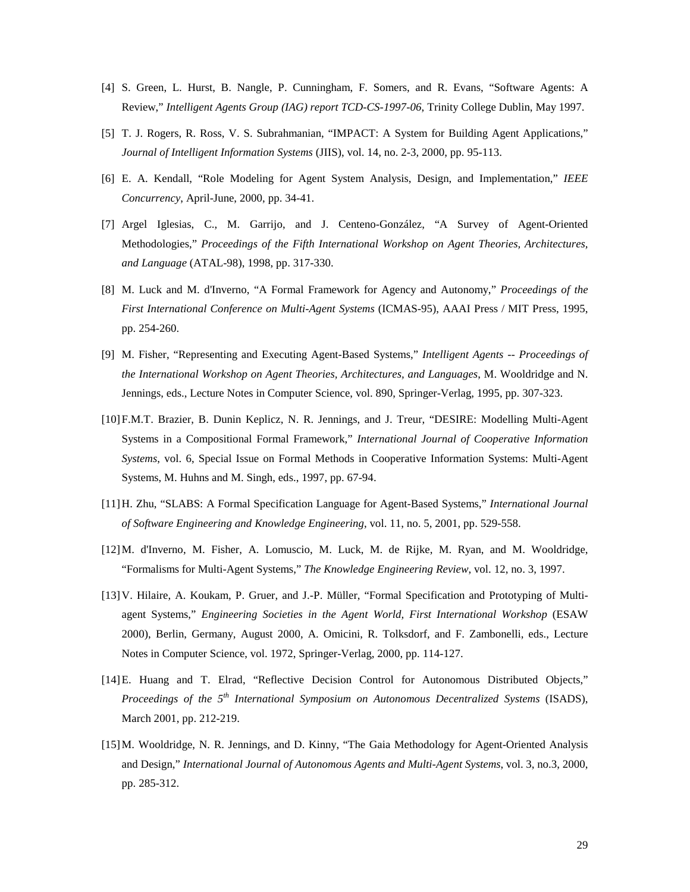- [4] S. Green, L. Hurst, B. Nangle, P. Cunningham, F. Somers, and R. Evans, "Software Agents: A Review," *Intelligent Agents Group (IAG) report TCD-CS-1997-06*, Trinity College Dublin, May 1997.
- [5] T. J. Rogers, R. Ross, V. S. Subrahmanian, "IMPACT: A System for Building Agent Applications," *Journal of Intelligent Information Systems* (JIIS), vol. 14, no. 2-3, 2000, pp. 95-113.
- [6] E. A. Kendall, "Role Modeling for Agent System Analysis, Design, and Implementation," *IEEE Concurrency*, April-June, 2000, pp. 34-41.
- [7] Argel Iglesias, C., M. Garrijo, and J. Centeno-González, "A Survey of Agent-Oriented Methodologies," *Proceedings of the Fifth International Workshop on Agent Theories, Architectures, and Language* (ATAL-98), 1998, pp. 317-330.
- [8] M. Luck and M. d'Inverno, "A Formal Framework for Agency and Autonomy," *Proceedings of the First International Conference on Multi-Agent Systems* (ICMAS-95), AAAI Press / MIT Press, 1995, pp. 254-260.
- [9] M. Fisher, "Representing and Executing Agent-Based Systems*,*" *Intelligent Agents -- Proceedings of the International Workshop on Agent Theories, Architectures, and Languages*, M. Wooldridge and N. Jennings, eds., Lecture Notes in Computer Science, vol. 890, Springer-Verlag, 1995, pp. 307-323.
- [10]F.M.T. Brazier, B. Dunin Keplicz, N. R. Jennings, and J. Treur, "DESIRE: Modelling Multi-Agent Systems in a Compositional Formal Framework," *International Journal of Cooperative Information Systems*, vol. 6, Special Issue on Formal Methods in Cooperative Information Systems: Multi-Agent Systems, M. Huhns and M. Singh, eds., 1997, pp. 67-94.
- [11]H. Zhu, "SLABS: A Formal Specification Language for Agent-Based Systems," *International Journal of Software Engineering and Knowledge Engineering*, vol. 11, no. 5, 2001, pp. 529-558.
- [12]M. d'Inverno, M. Fisher, A. Lomuscio, M. Luck, M. de Rijke, M. Ryan, and M. Wooldridge, "Formalisms for Multi-Agent Systems," *The Knowledge Engineering Review*, vol. 12, no. 3, 1997.
- [13]V. Hilaire, A. Koukam, P. Gruer, and J.-P. Müller, "Formal Specification and Prototyping of Multiagent Systems," *Engineering Societies in the Agent World, First International Workshop* (ESAW 2000), Berlin, Germany, August 2000, A. Omicini, R. Tolksdorf, and F. Zambonelli, eds., Lecture Notes in Computer Science, vol. 1972, Springer-Verlag, 2000, pp. 114-127.
- [14]E. Huang and T. Elrad, "Reflective Decision Control for Autonomous Distributed Objects," Proceedings of the 5<sup>th</sup> International Symposium on Autonomous Decentralized Systems (ISADS), March 2001, pp. 212-219.
- [15]M. Wooldridge, N. R. Jennings, and D. Kinny, "The Gaia Methodology for Agent-Oriented Analysis and Design," *International Journal of Autonomous Agents and Multi-Agent Systems*, vol. 3, no.3, 2000, pp. 285-312.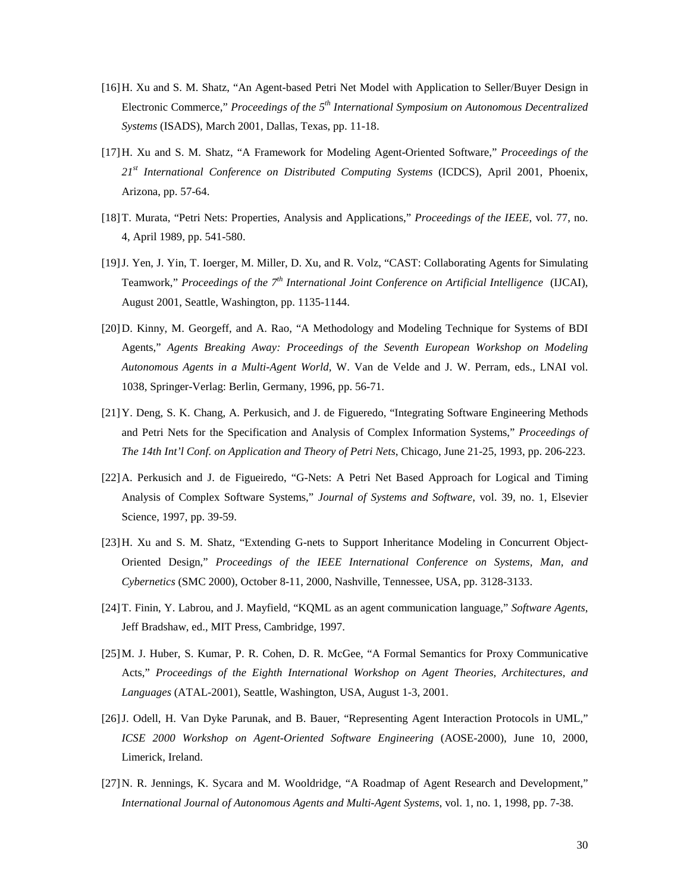- [16]H. Xu and S. M. Shatz, "An Agent-based Petri Net Model with Application to Seller/Buyer Design in Electronic Commerce," *Proceedings of the 5<sup>th</sup> International Symposium on Autonomous Decentralized Systems* (ISADS), March 2001, Dallas, Texas, pp. 11-18.
- [17]H. Xu and S. M. Shatz, "A Framework for Modeling Agent-Oriented Software," *Proceedings of the 21st International Conference on Distributed Computing Systems* (ICDCS), April 2001, Phoenix, Arizona, pp. 57-64.
- [18]T. Murata, "Petri Nets: Properties, Analysis and Applications," *Proceedings of the IEEE*, vol. 77, no. 4, April 1989, pp. 541-580.
- [19]J. Yen, J. Yin, T. Ioerger, M. Miller, D. Xu, and R. Volz, "CAST: Collaborating Agents for Simulating Teamwork," *Proceedings of the 7<sup>th</sup> International Joint Conference on Artificial Intelligence* (IJCAI), August 2001, Seattle, Washington, pp. 1135-1144.
- [20]D. Kinny, M. Georgeff, and A. Rao, "A Methodology and Modeling Technique for Systems of BDI Agents," *Agents Breaking Away: Proceedings of the Seventh European Workshop on Modeling Autonomous Agents in a Multi-Agent World,* W. Van de Velde and J. W. Perram, eds., LNAI vol. 1038, Springer-Verlag: Berlin, Germany, 1996, pp. 56-71.
- [21]Y. Deng, S. K. Chang, A. Perkusich, and J. de Figueredo, "Integrating Software Engineering Methods and Petri Nets for the Specification and Analysis of Complex Information Systems," *Proceedings of The 14th Int'l Conf. on Application and Theory of Petri Nets*, Chicago, June 21-25, 1993, pp. 206-223.
- [22]A. Perkusich and J. de Figueiredo, "G-Nets: A Petri Net Based Approach for Logical and Timing Analysis of Complex Software Systems," *Journal of Systems and Software*, vol. 39, no. 1, Elsevier Science, 1997, pp. 39-59.
- [23]H. Xu and S. M. Shatz, "Extending G-nets to Support Inheritance Modeling in Concurrent Object-Oriented Design," *Proceedings of the IEEE International Conference on Systems, Man, and Cybernetics* (SMC 2000), October 8-11, 2000, Nashville, Tennessee, USA, pp. 3128-3133.
- [24]T. Finin, Y. Labrou, and J. Mayfield, "KQML as an agent communication language," *Software Agents*, Jeff Bradshaw, ed., MIT Press, Cambridge, 1997.
- [25]M. J. Huber, S. Kumar, P. R. Cohen, D. R. McGee, "A Formal Semantics for Proxy Communicative Acts," *Proceedings of the Eighth International Workshop on Agent Theories, Architectures, and Languages* (ATAL-2001)*,* Seattle, Washington, USA, August 1-3, 2001.
- [26]J. Odell, H. Van Dyke Parunak, and B. Bauer, "Representing Agent Interaction Protocols in UML," *ICSE 2000 Workshop on Agent-Oriented Software Engineering* (AOSE-2000), June 10, 2000, Limerick, Ireland.
- [27]N. R. Jennings, K. Sycara and M. Wooldridge, "A Roadmap of Agent Research and Development," *International Journal of Autonomous Agents and Multi-Agent Systems*, vol. 1, no. 1, 1998, pp. 7-38.